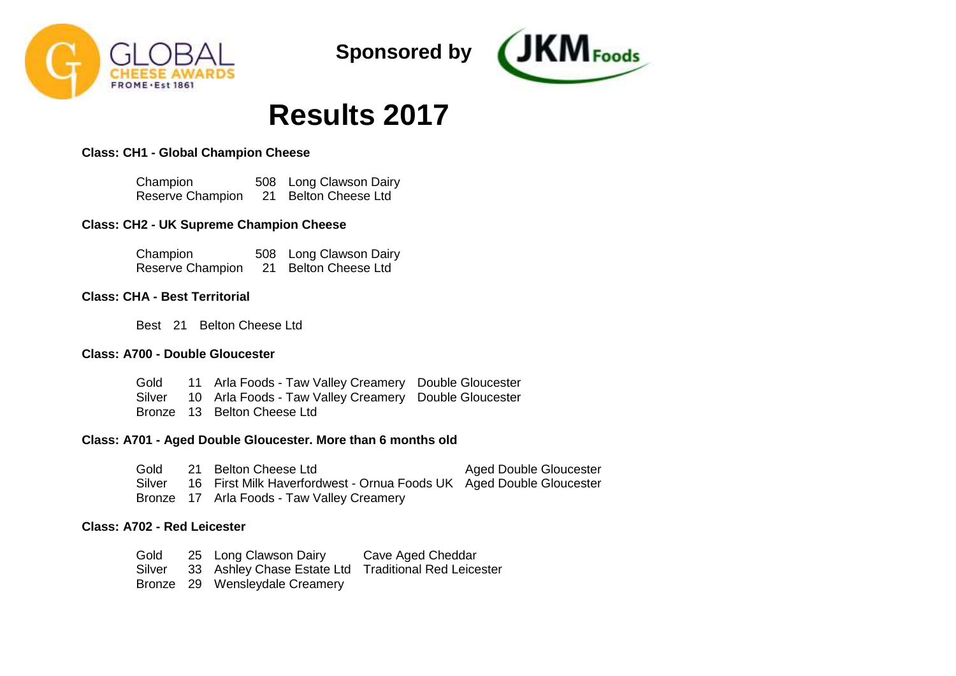



# **Results 2017**

# **Class: CH1 - Global Champion Cheese**

Champion Reserve Champion 21 Belton Cheese Ltd 508 Long Clawson Dairy

## **Class: CH2 - UK Supreme Champion Cheese**

| Champion         | 508 Long Clawson Dairy |
|------------------|------------------------|
| Reserve Champion | 21 Belton Cheese Ltd   |

# **Class: CHA - Best Territorial**

Best 21 Belton Cheese Ltd

### **Class: A700 - Double Gloucester**

|  | Gold 11 Arla Foods - Taw Valley Creamery Double Gloucester   |  |
|--|--------------------------------------------------------------|--|
|  | Silver 10 Arla Foods - Taw Valley Creamery Double Gloucester |  |
|  | Bronze 13 Belton Cheese Ltd                                  |  |

### **Class: A701 - Aged Double Gloucester. More than 6 months old**

Gold Silver 16 First Milk Haverfordwest - Ornua Foods UK Aged Double Gloucester Bronze 17 Arla Foods - Taw Valley Creamery 21 Belton Cheese Ltd Aged Double Gloucester

# **Class: A702 - Red Leicester**

Gold Silver Bronze 29 Wensleydale Creamery 25 Long Clawson Dairy 33 Ashley Chase Estate Ltd Traditional Red LeicesterCave Aged Cheddar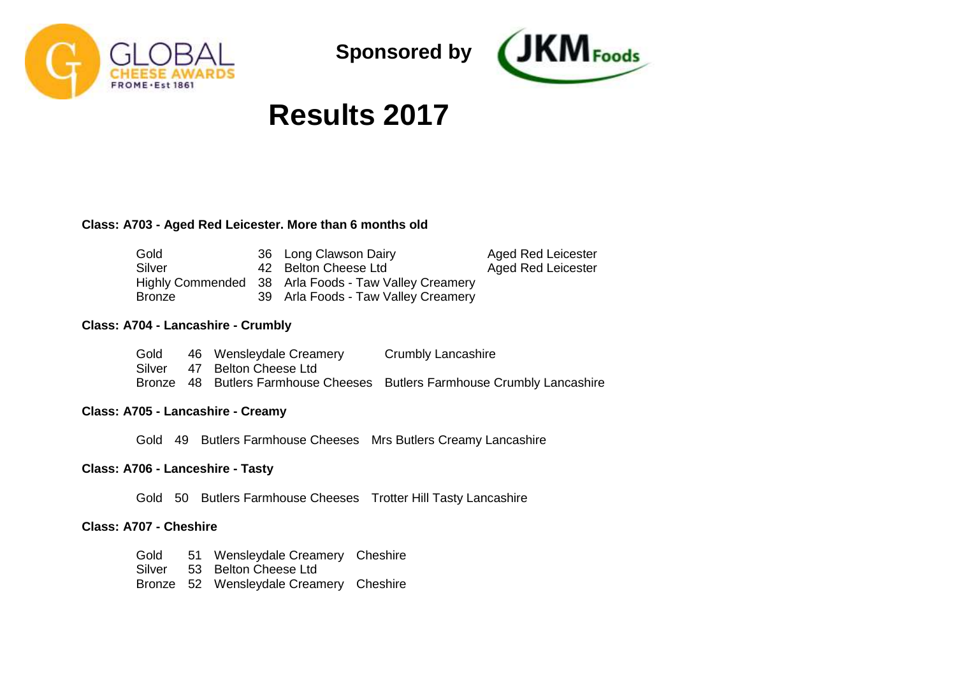



# **Results 2017**

### **Class: A703 - Aged Red Leicester. More than 6 months old**

| Gold          | 36 Long Clawson Dairy                                | Aged Red Leicester |
|---------------|------------------------------------------------------|--------------------|
| Silver        | 42 Belton Cheese Ltd                                 | Aged Red Leicester |
|               | Highly Commended 38 Arla Foods - Taw Valley Creamery |                    |
| <b>Bronze</b> | 39 Arla Foods - Taw Valley Creamery                  |                    |

### **Class: A704 - Lancashire - Crumbly**

| Gold | 46 Wensleydale Creamery     | Crumbly Lancashire                                                       |
|------|-----------------------------|--------------------------------------------------------------------------|
|      | Silver 47 Belton Cheese Ltd |                                                                          |
|      |                             | Bronze 48 Butlers Farmhouse Cheeses Butlers Farmhouse Crumbly Lancashire |

## **Class: A705 - Lancashire - Creamy**

Gold 49 Butlers Farmhouse Cheeses Mrs Butlers Creamy Lancashire

### **Class: A706 - Lanceshire - Tasty**

Gold 50 Butlers Farmhouse Cheeses Trotter Hill Tasty Lancashire

#### **Class: A707 - Cheshire**

Gold Silver Bronze 52 Wensleydale Creamery Cheshire51 Wensleydale Creamery Cheshire 53 Belton Cheese Ltd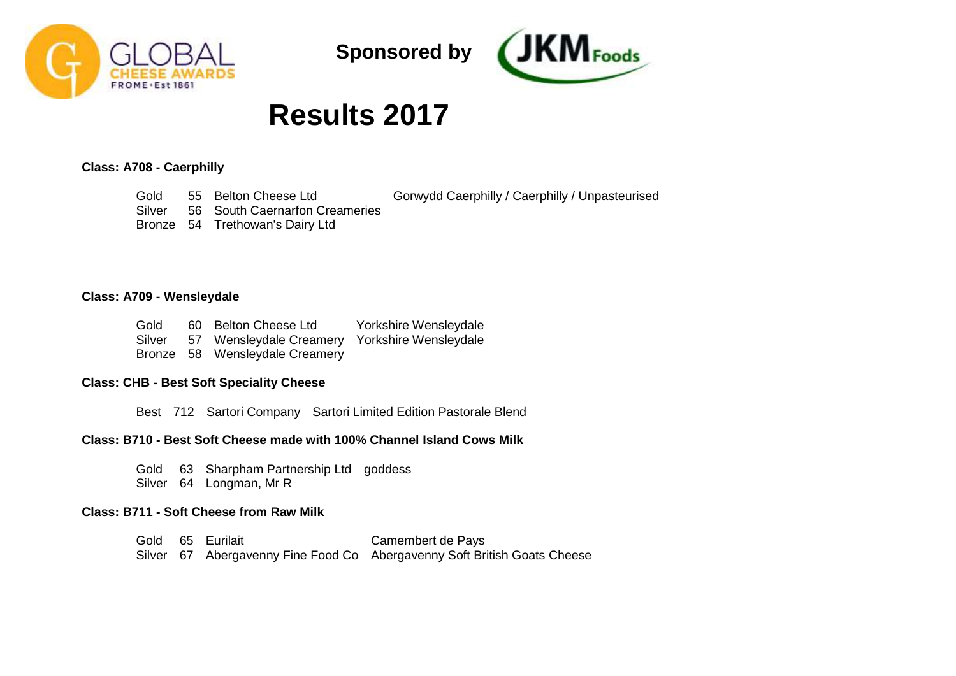



Gorwydd Caerphilly / Caerphilly / Unpasteurised

# **Results 2017**

# **Class: A708 - Caerphilly**

Gold Silver 55 Belton Cheese Ltd 56 South Caernarfon Creameries

Bronze 54 Trethowan's Dairy Ltd

### **Class: A709 - Wensleydale**

| Gold   | 60 Belton Cheese Ltd                          | Yorkshire Wensleydale |
|--------|-----------------------------------------------|-----------------------|
| Silver | 57 Wensleydale Creamery Yorkshire Wensleydale |                       |
|        | Bronze 58 Wensleydale Creamery                |                       |

#### **Class: CHB - Best Soft Speciality Cheese**

Best 712 Sartori Company Sartori Limited Edition Pastorale Blend

# **Class: B710 - Best Soft Cheese made with 100% Channel Island Cows Milk**

Gold 63 Sharpham Partnership Ltd goddess Silver 64 Longman, Mr R

#### **Class: B711 - Soft Cheese from Raw Milk**

Gold 65 Eurilait Silver 67 Abergavenny Fine Food Co Abergavenny Soft British Goats Cheese Camembert de Pays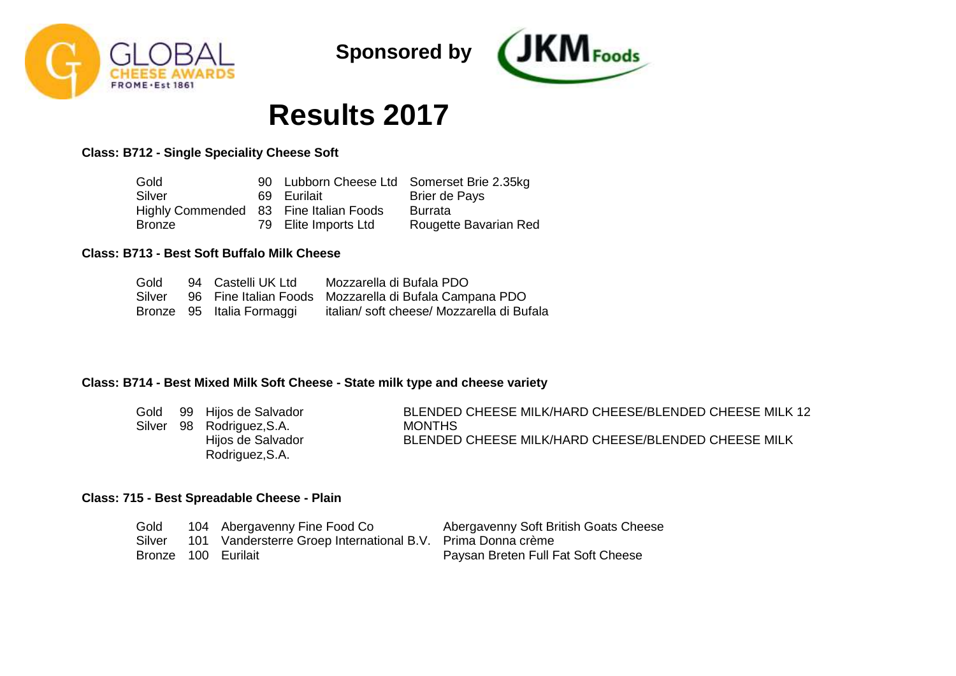



# **Results 2017**

**Class: B712 - Single Speciality Cheese Soft**

| Gold                                   |                      | 90 Lubborn Cheese Ltd Somerset Brie 2.35kg |
|----------------------------------------|----------------------|--------------------------------------------|
| Silver                                 | 69 Eurilait          | Brier de Pays                              |
| Highly Commended 83 Fine Italian Foods |                      | Burrata                                    |
| Bronze                                 | 79 Elite Imports Ltd | Rougette Bavarian Red                      |

# **Class: B713 - Best Soft Buffalo Milk Cheese**

| Gold   | 94 Castelli UK Ltd        | Mozzarella di Bufala PDO                               |
|--------|---------------------------|--------------------------------------------------------|
| Silver |                           | 96 Fine Italian Foods Mozzarella di Bufala Campana PDO |
|        | Bronze 95 Italia Formaggi | italian/soft cheese/ Mozzarella di Bufala              |

# **Class: B714 - Best Mixed Milk Soft Cheese - State milk type and cheese variety**

| Gold | 99 Hijos de Salvador      | BLENDED CHEESE MILK/HARD CHEESE/BLENDED CHEESE MILK 12 |
|------|---------------------------|--------------------------------------------------------|
|      | Silver 98 Rodriguez, S.A. | <b>MONTHS</b>                                          |
|      | Hijos de Salvador         | BLENDED CHEESE MILK/HARD CHEESE/BLENDED CHEESE MILK    |
|      | Rodriguez, S.A.           |                                                        |

# **Class: 715 - Best Spreadable Cheese - Plain**

| Gold                | 104 Abergavenny Fine Food Co                                | Abergavenny Soft British Goats Cheese |
|---------------------|-------------------------------------------------------------|---------------------------------------|
| Silver              | 101 Vandersterre Groep International B.V. Prima Donna crème |                                       |
| Bronze 100 Eurilait |                                                             | Paysan Breten Full Fat Soft Cheese    |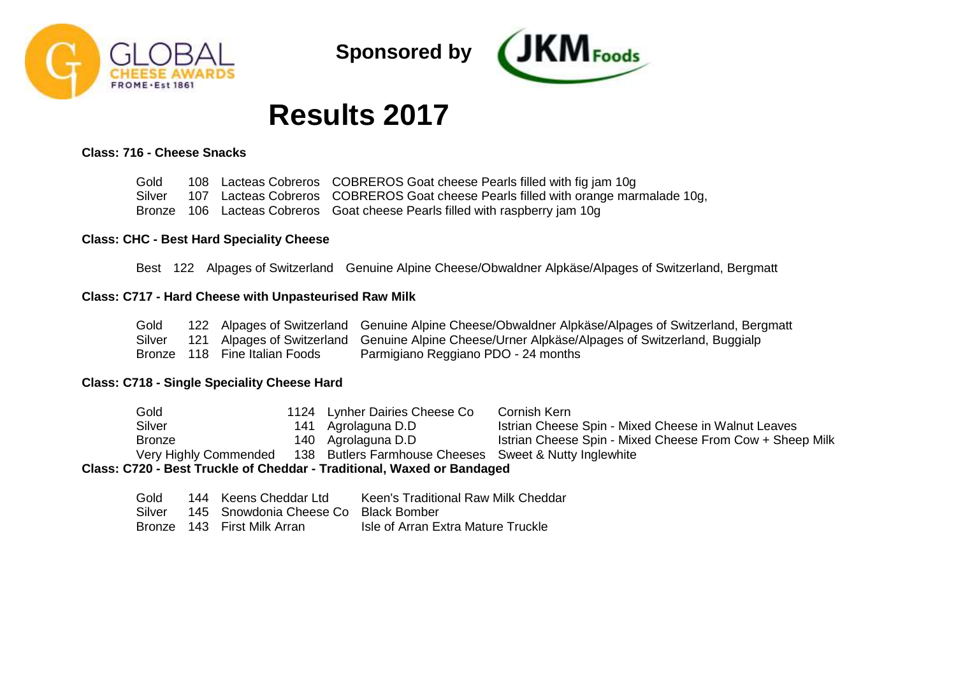



# **Results 2017**

### **Class: 716 - Cheese Snacks**

Gold Silver Bronze 106 Lacteas Cobreros Goat cheese Pearls filled with raspberry jam 10g 108 Lacteas Cobreros COBREROS Goat cheese Pearls filled with fig jam 10g 107 Lacteas Cobreros COBREROS Goat cheese Pearls filled with orange marmalade 10g,

### **Class: CHC - Best Hard Speciality Cheese**

Best 122 Alpages of Switzerland Genuine Alpine Cheese/Obwaldner Alpkäse/Alpages of Switzerland, Bergmatt

#### **Class: C717 - Hard Cheese with Unpasteurised Raw Milk**

| Gold |                               | 122 Alpages of Switzerland Genuine Alpine Cheese/Obwaldner Alpkäse/Alpages of Switzerland, Bergmatt    |
|------|-------------------------------|--------------------------------------------------------------------------------------------------------|
|      |                               | Silver 121 Alpages of Switzerland Genuine Alpine Cheese/Urner Alpkäse/Alpages of Switzerland, Buggialp |
|      | Bronze 118 Fine Italian Foods | Parmigiano Reggiano PDO - 24 months                                                                    |

### **Class: C718 - Single Speciality Cheese Hard**

Gold Silver Bronze Very Highly Commended 138 Butlers Farmhouse Cheeses Sweet & Nutty Inglewhite 1124 Lynher Dairies Cheese Co 141 Agrolaguna D.D 140 Agrolaguna D.D Cornish Kern Istrian Cheese Spin - Mixed Cheese in Walnut Leaves Istrian Cheese Spin - Mixed Cheese From Cow + Sheep Milk **Class: C720 - Best Truckle of Cheddar - Traditional, Waxed or Bandaged**

| Gold   | 144 Keens Cheddar Ltd                      | Keen's Traditional Raw Milk Cheddar |
|--------|--------------------------------------------|-------------------------------------|
| Silver | - 145 - Snowdonia Cheese Co - Black Bomber |                                     |
|        | Bronze 143 First Milk Arran                | Isle of Arran Extra Mature Truckle  |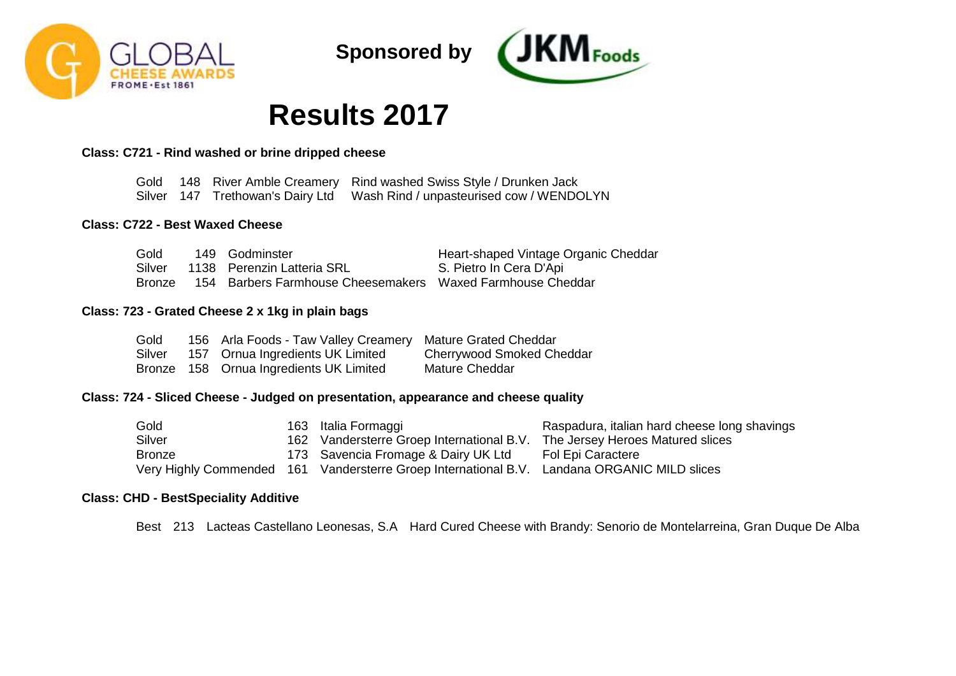



# **Results 2017**

## **Class: C721 - Rind washed or brine dripped cheese**

Gold 148 River Amble Creamery Rind washed Swiss Style / Drunken Jack Silver 147 Trethowan's Dairy Ltd Wash Rind / unpasteurised cow / WENDOLYN

### **Class: C722 - Best Waxed Cheese**

| Gold   | 149 Godminster                                             | Heart-shaped Vintage Organic Cheddar |
|--------|------------------------------------------------------------|--------------------------------------|
| Silver | 1138 Perenzin Latteria SRL                                 | S. Pietro In Cera D'Api              |
| Bronze | 154 Barbers Farmhouse Cheesemakers Waxed Farmhouse Cheddar |                                      |

#### **Class: 723 - Grated Cheese 2 x 1kg in plain bags**

| Gold   | 156 Arla Foods - Taw Valley Creamery Mature Grated Cheddar |                                  |
|--------|------------------------------------------------------------|----------------------------------|
| Silver | 157 Ornua Ingredients UK Limited                           | <b>Cherrywood Smoked Cheddar</b> |
|        | Bronze 158 Ornua Ingredients UK Limited                    | Mature Cheddar                   |

# **Class: 724 - Sliced Cheese - Judged on presentation, appearance and cheese quality**

| Gold          | 163 Italia Formaggi                                                                         | Raspadura, italian hard cheese long shavings |
|---------------|---------------------------------------------------------------------------------------------|----------------------------------------------|
| Silver        | 162 Vandersterre Groep International B.V. The Jersey Heroes Matured slices                  |                                              |
| <b>Bronze</b> | 173 Savencia Fromage & Dairy UK Ltd                                                         | Fol Epi Caractere                            |
|               | Very Highly Commended 161 Vandersterre Groep International B.V. Landana ORGANIC MILD slices |                                              |

### **Class: CHD - BestSpeciality Additive**

Best 213 Lacteas Castellano Leonesas, S.A Hard Cured Cheese with Brandy: Senorio de Montelarreina, Gran Duque De Alba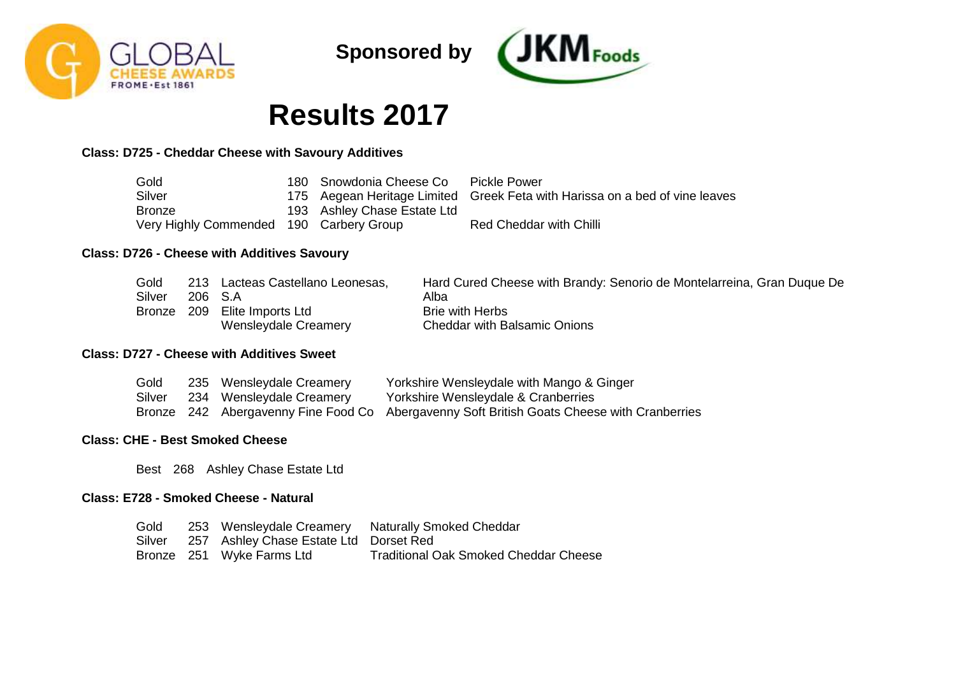



# **Results 2017**

# **Class: D725 - Cheddar Cheese with Savoury Additives**

| Gold                                    | 180 Snowdonia Cheese Co     | <b>Pickle Power</b>                                                         |
|-----------------------------------------|-----------------------------|-----------------------------------------------------------------------------|
| Silver                                  |                             | 175 Aegean Heritage Limited Greek Feta with Harissa on a bed of vine leaves |
| <b>Bronze</b>                           | 193 Ashley Chase Estate Ltd |                                                                             |
| Very Highly Commended 190 Carbery Group |                             | <b>Red Cheddar with Chilli</b>                                              |

# **Class: D726 - Cheese with Additives Savoury**

| Gold   |         | 213 Lacteas Castellano Leonesas, | Hard Cured Cheese with Brandy: Senorio de Montelarreina, Gran Duque De |
|--------|---------|----------------------------------|------------------------------------------------------------------------|
| Silver | 206 S.A |                                  | Alba                                                                   |
| Bronze |         | 209 Elite Imports Ltd            | <b>Brie with Herbs</b>                                                 |
|        |         | Wensleydale Creamery             | <b>Cheddar with Balsamic Onions</b>                                    |

# **Class: D727 - Cheese with Additives Sweet**

| Gold   | 235 Wensleydale Creamery | Yorkshire Wensleydale with Mango & Ginger                                                  |
|--------|--------------------------|--------------------------------------------------------------------------------------------|
| Silver | 234 Wensleydale Creamery | Yorkshire Wensleydale & Cranberries                                                        |
|        |                          | Bronze 242 Abergavenny Fine Food Co Abergavenny Soft British Goats Cheese with Cranberries |

# **Class: CHE - Best Smoked Cheese**

Best 268 Ashley Chase Estate Ltd

# **Class: E728 - Smoked Cheese - Natural**

| Gold   |                                        | 253 Wensleydale Creamery Naturally Smoked Cheddar |
|--------|----------------------------------------|---------------------------------------------------|
| Silver | 257 Ashley Chase Estate Ltd Dorset Red |                                                   |
|        | Bronze 251 Wyke Farms Ltd              | <b>Traditional Oak Smoked Cheddar Cheese</b>      |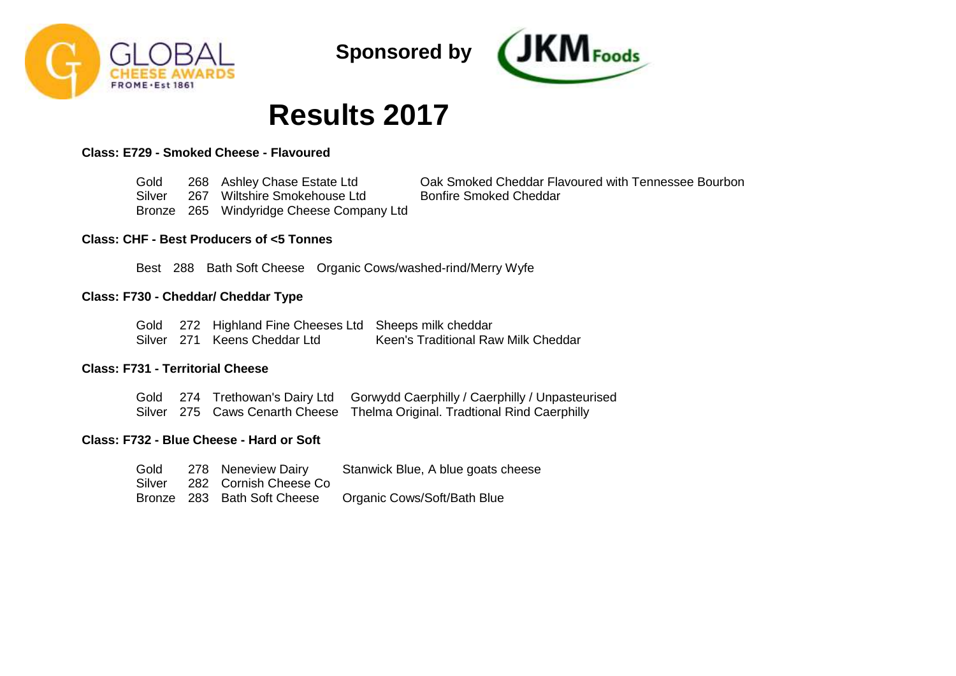



# **Results 2017**

# **Class: E729 - Smoked Cheese - Flavoured**

Gold **Silver** Bronze 265 Windyridge Cheese Company Ltd 268 Ashley Chase Estate Ltd 267 Wiltshire Smokehouse Ltd Oak Smoked Cheddar Flavoured with Tennessee Bourbon Bonfire Smoked Cheddar

## **Class: CHF - Best Producers of <5 Tonnes**

Best 288 Bath Soft Cheese Organic Cows/washed-rind/Merry Wyfe

### **Class: F730 - Cheddar/ Cheddar Type**

|  | Gold 272 Highland Fine Cheeses Ltd Sheeps milk cheddar |                                     |
|--|--------------------------------------------------------|-------------------------------------|
|  | Silver 271 Keens Cheddar Ltd                           | Keen's Traditional Raw Milk Cheddar |

# **Class: F731 - Territorial Cheese**

|  | Gold 274 Trethowan's Dairy Ltd Gorwydd Caerphilly / Caerphilly / Unpasteurised |
|--|--------------------------------------------------------------------------------|
|  | Silver 275 Caws Cenarth Cheese Thelma Original. Tradtional Rind Caerphilly     |

# **Class: F732 - Blue Cheese - Hard or Soft**

| Gold   | 278 Neneview Dairy    | Stanwick Blue, A blue goats cheese                      |
|--------|-----------------------|---------------------------------------------------------|
| Silver | 282 Cornish Cheese Co |                                                         |
|        |                       | Bronze 283 Bath Soft Cheese Organic Cows/Soft/Bath Blue |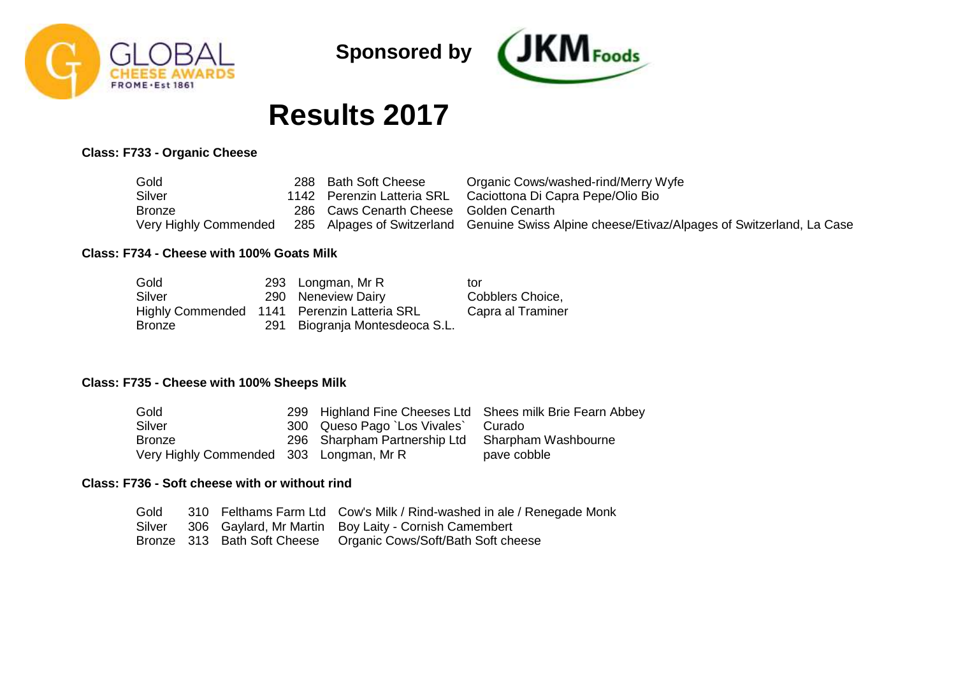



# **Results 2017**

# **Class: F733 - Organic Cheese**

| Gold                  | 288 Bath Soft Cheese                   | Organic Cows/washed-rind/Merry Wyfe                                                           |
|-----------------------|----------------------------------------|-----------------------------------------------------------------------------------------------|
| Silver                | 1142 Perenzin Latteria SRL             | Caciottona Di Capra Pepe/Olio Bio                                                             |
| <b>Bronze</b>         | 286 Caws Cenarth Cheese Golden Cenarth |                                                                                               |
| Very Highly Commended |                                        | 285 Alpages of Switzerland Genuine Swiss Alpine cheese/Etivaz/Alpages of Switzerland, La Case |

# **Class: F734 - Cheese with 100% Goats Milk**

| Gold          | 293 Longman, Mr R                           | tor               |
|---------------|---------------------------------------------|-------------------|
| Silver        | 290 Neneview Dairy                          | Cobblers Choice,  |
|               | Highly Commended 1141 Perenzin Latteria SRL | Capra al Traminer |
| <b>Bronze</b> | 291 Biogranja Montesdeoca S.L.              |                   |

# **Class: F735 - Cheese with 100% Sheeps Milk**

| Gold                                    |                                                  | 299 Highland Fine Cheeses Ltd Shees milk Brie Fearn Abbey |
|-----------------------------------------|--------------------------------------------------|-----------------------------------------------------------|
| Silver                                  | 300 Queso Pago `Los Vivales`                     | Curado                                                    |
| <b>Bronze</b>                           | 296 Sharpham Partnership Ltd Sharpham Washbourne |                                                           |
| Very Highly Commended 303 Longman, Mr R |                                                  | pave cobble                                               |

# **Class: F736 - Soft cheese with or without rind**

| Gold |  | 310 Felthams Farm Ltd Cow's Milk / Rind-washed in ale / Renegade Monk |
|------|--|-----------------------------------------------------------------------|
|      |  | Silver 306 Gaylard, Mr Martin Boy Laity - Cornish Camembert           |
|      |  | Bronze 313 Bath Soft Cheese Organic Cows/Soft/Bath Soft cheese        |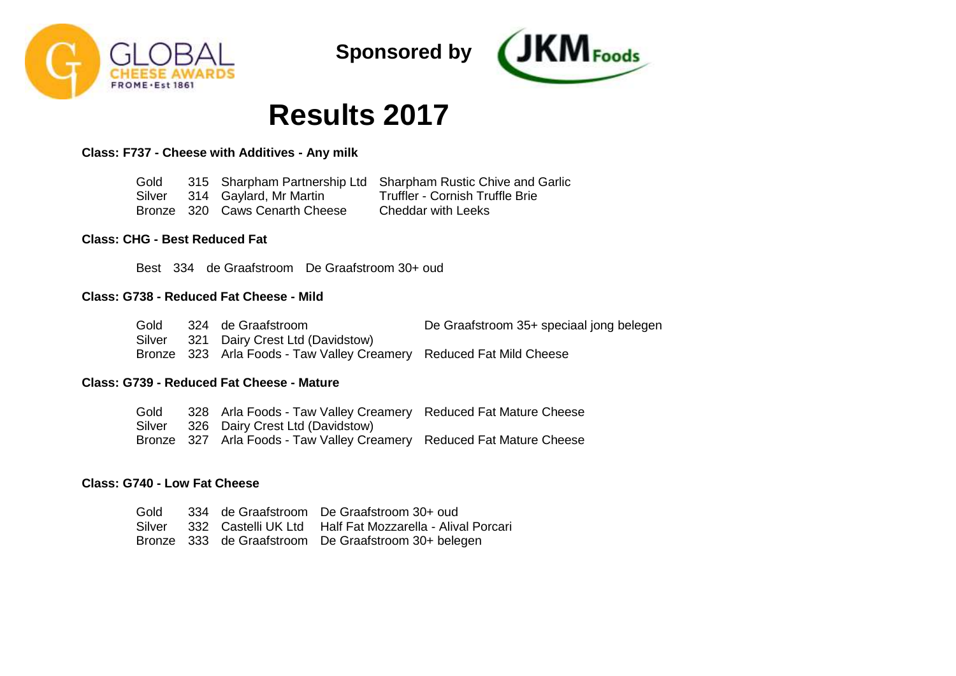



# **Results 2017**

**Class: F737 - Cheese with Additives - Any milk**

Gold Silver Bronze 320 Caws Cenarth Cheese 315 Sharpham Partnership Ltd Sharpham Rustic Chive and Garlic 314 Gaylard, Mr Martin Truffler - Cornish Truffle Brie Cheddar with Leeks

## **Class: CHG - Best Reduced Fat**

Best 334 de Graafstroom De Graafstroom 30+ oud

#### **Class: G738 - Reduced Fat Cheese - Mild**

| Gold   | 324 de Graafstroom                                                  | De Graafstroom 35+ speciaal jong belegen |
|--------|---------------------------------------------------------------------|------------------------------------------|
| Silver | 321 Dairy Crest Ltd (Davidstow)                                     |                                          |
|        | Bronze 323 Arla Foods - Taw Valley Creamery Reduced Fat Mild Cheese |                                          |

# **Class: G739 - Reduced Fat Cheese - Mature**

Gold Silver Bronze 327 Arla Foods - Taw Valley Creamery Reduced Fat Mature Cheese 328 Arla Foods - Taw Valley Creamery Reduced Fat Mature Cheese 326 Dairy Crest Ltd (Davidstow)

### **Class: G740 - Low Fat Cheese**

Gold Silver 332 Castelli UK Ltd Half Fat Mozzarella - Alival Porcari Bronze 333 de Graafstroom De Graafstroom 30+ belegen334 de Graafstroom De Graafstroom 30+ oud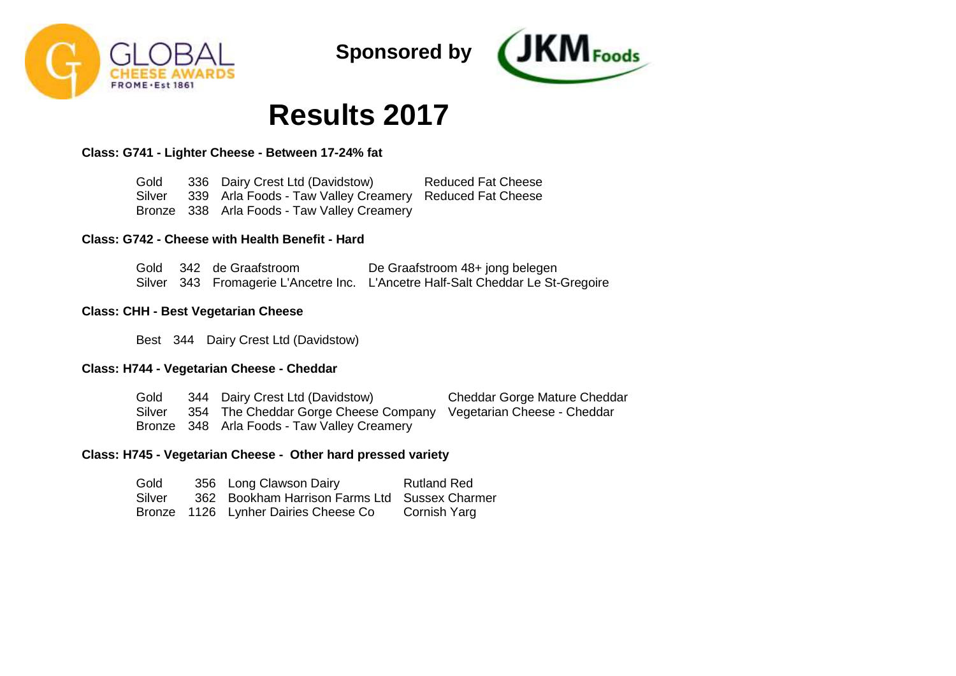



# **Results 2017**

**Class: G741 - Lighter Cheese - Between 17-24% fat**

Gold Silver Bronze 338 Arla Foods - Taw Valley Creamery 336 Dairy Crest Ltd (Davidstow) 339 Arla Foods - Taw Valley Creamery Reduced Fat Cheese Reduced Fat Cheese

## **Class: G742 - Cheese with Health Benefit - Hard**

|  | Gold 342 de Graafstroom | De Graafstroom 48+ jong belegen                                                 |
|--|-------------------------|---------------------------------------------------------------------------------|
|  |                         | Silver 343 Fromagerie L'Ancetre Inc. L'Ancetre Half-Salt Cheddar Le St-Gregoire |

### **Class: CHH - Best Vegetarian Cheese**

Best 344 Dairy Crest Ltd (Davidstow)

### **Class: H744 - Vegetarian Cheese - Cheddar**

Gold Silver Bronze 348 Arla Foods - Taw Valley Creamery 344 Dairy Crest Ltd (Davidstow) 354 The Cheddar Gorge Cheese Company Vegetarian Cheese - Cheddar Cheddar Gorge Mature Cheddar

### **Class: H745 - Vegetarian Cheese - Other hard pressed variety**

| Gold   | 356 Long Clawson Dairy                        | <b>Rutland Red</b> |
|--------|-----------------------------------------------|--------------------|
| Silver | 362 Bookham Harrison Farms Ltd Sussex Charmer |                    |
|        | Bronze 1126 Lynher Dairies Cheese Co          | Cornish Yarg       |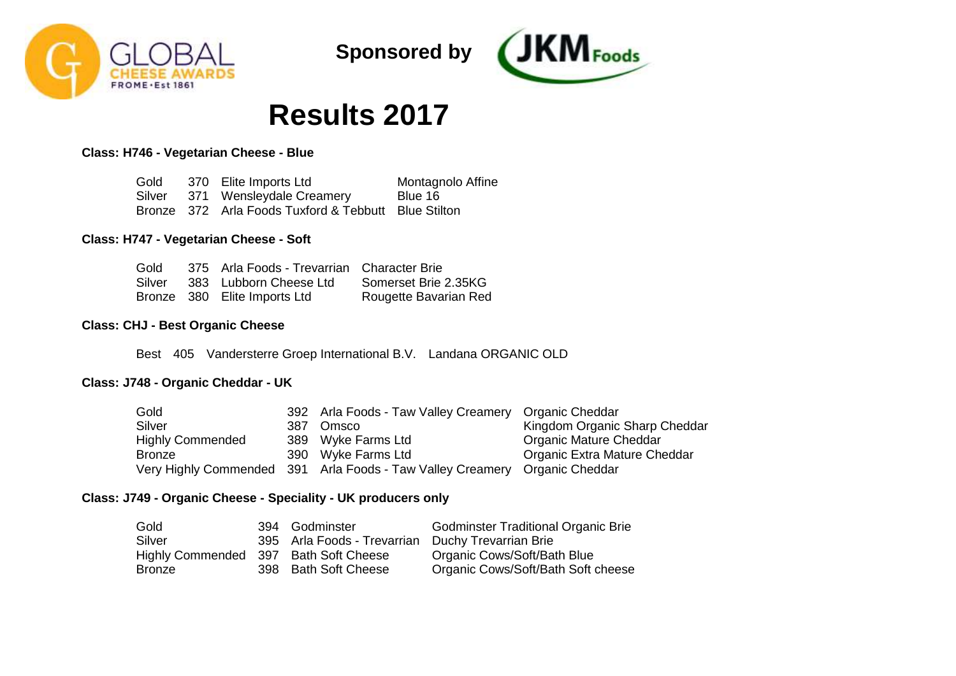



# **Results 2017**

# **Class: H746 - Vegetarian Cheese - Blue**

| Gold   | 370 Elite Imports Ltd                                | Montagnolo Affine |
|--------|------------------------------------------------------|-------------------|
| Silver | 371 Wensleydale Creamery                             | Blue 16           |
|        | Bronze 372 Arla Foods Tuxford & Tebbutt Blue Stilton |                   |

## **Class: H747 - Vegetarian Cheese - Soft**

| Gold   | 375 Arla Foods - Trevarrian Character Brie |                       |
|--------|--------------------------------------------|-----------------------|
| Silver | 383 Lubborn Cheese Ltd                     | Somerset Brie 2.35KG  |
|        | Bronze 380 Elite Imports Ltd               | Rougette Bavarian Red |

### **Class: CHJ - Best Organic Cheese**

Best 405 Vandersterre Groep International B.V. Landana ORGANIC OLD

# **Class: J748 - Organic Cheddar - UK**

| Gold                    |      | 392 Arla Foods - Taw Valley Creamery Organic Cheddar       |                               |
|-------------------------|------|------------------------------------------------------------|-------------------------------|
| Silver                  | 387. | Omsco                                                      | Kingdom Organic Sharp Cheddar |
| <b>Highly Commended</b> |      | 389 Wyke Farms Ltd                                         | Organic Mature Cheddar        |
| <b>Bronze</b>           |      | 390 Wyke Farms Ltd                                         | Organic Extra Mature Cheddar  |
|                         |      | Very Highly Commended 391 Arla Foods - Taw Valley Creamery | Organic Cheddar               |

# **Class: J749 - Organic Cheese - Speciality - UK producers only**

| Gold                                  | 394 Godminster                                    | <b>Godminster Traditional Organic Brie</b> |
|---------------------------------------|---------------------------------------------------|--------------------------------------------|
| Silver                                | 395 Arla Foods - Trevarrian Duchy Trevarrian Brie |                                            |
| Highly Commended 397 Bath Soft Cheese |                                                   | Organic Cows/Soft/Bath Blue                |
| Bronze                                | 398 Bath Soft Cheese                              | Organic Cows/Soft/Bath Soft cheese         |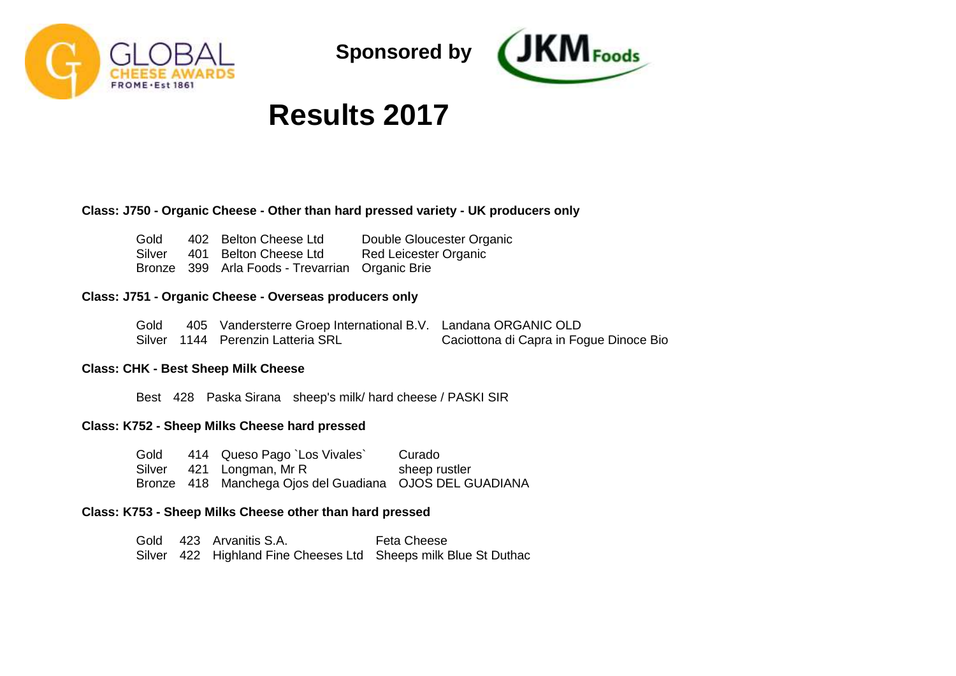



# **Results 2017**

## **Class: J750 - Organic Cheese - Other than hard pressed variety - UK producers only**

| Gold   | 402 Belton Cheese Ltd                           | Double Gloucester Organic |
|--------|-------------------------------------------------|---------------------------|
| Silver | 401 Belton Cheese Ltd                           | Red Leicester Organic     |
|        | Bronze 399 Arla Foods - Trevarrian Organic Brie |                           |

#### **Class: J751 - Organic Cheese - Overseas producers only**

| Gold | 405 Vandersterre Groep International B.V. Landana ORGANIC OLD |                                         |
|------|---------------------------------------------------------------|-----------------------------------------|
|      | Silver 1144 Perenzin Latteria SRL                             | Caciottona di Capra in Fogue Dinoce Bio |

# **Class: CHK - Best Sheep Milk Cheese**

Best 428 Paska Sirana sheep's milk/ hard cheese / PASKI SIR

## **Class: K752 - Sheep Milks Cheese hard pressed**

| Gold | 414 Queso Pago `Los Vivales`                            | Curado        |
|------|---------------------------------------------------------|---------------|
|      | Silver 421 Longman, Mr R                                | sheep rustler |
|      | Bronze 418 Manchega Ojos del Guadiana OJOS DEL GUADIANA |               |

### **Class: K753 - Sheep Milks Cheese other than hard pressed**

Gold 423 Arvanitis S.A. Silver 422 Highland Fine Cheeses Ltd Sheeps milk Blue St DuthacFeta Cheese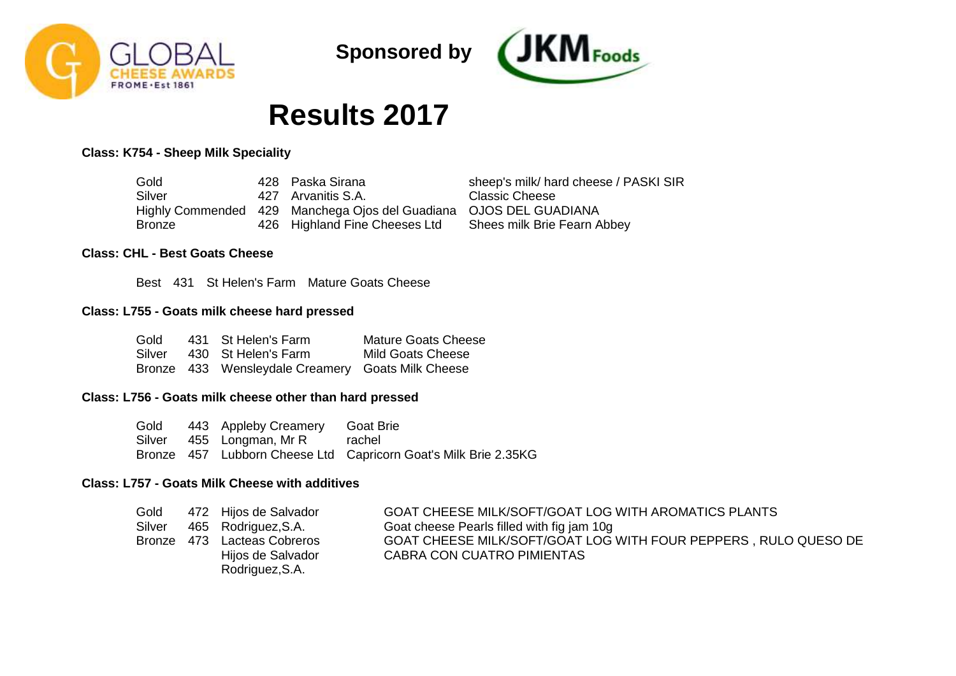



# **Results 2017**

# **Class: K754 - Sheep Milk Speciality**

| Gold   | 428 Paska Sirana                                                  | sheep's milk/ hard cheese / PASKI SIR |
|--------|-------------------------------------------------------------------|---------------------------------------|
| Silver | 427 Arvanitis S.A.                                                | Classic Cheese                        |
|        | Highly Commended 429 Manchega Ojos del Guadiana OJOS DEL GUADIANA |                                       |
| Bronze | 426 Highland Fine Cheeses Ltd                                     | Shees milk Brie Fearn Abbey           |

## **Class: CHL - Best Goats Cheese**

Best 431 St Helen's Farm Mature Goats Cheese

#### **Class: L755 - Goats milk cheese hard pressed**

| Gold | 431 St Helen's Farm                               | Mature Goats Cheese |
|------|---------------------------------------------------|---------------------|
|      | Silver 430 St Helen's Farm                        | Mild Goats Cheese   |
|      | Bronze 433 Wensleydale Creamery Goats Milk Cheese |                     |

## **Class: L756 - Goats milk cheese other than hard pressed**

Gold Silver 455 Longman, Mr R Bronze 457 Lubborn Cheese Ltd Capricorn Goat's Milk Brie 2.35KG 443 Appleby Creamery Goat Brie rachel

# **Class: L757 - Goats Milk Cheese with additives**

| Gold   | 472 Hijos de Salvador       | GOAT CHEESE MILK/SOFT/GOAT LOG WITH AROMATICS PLANTS            |
|--------|-----------------------------|-----------------------------------------------------------------|
| Silver | 465 Rodriguez, S.A.         | Goat cheese Pearls filled with fig jam 10g                      |
|        | Bronze 473 Lacteas Cobreros | GOAT CHEESE MILK/SOFT/GOAT LOG WITH FOUR PEPPERS, RULO QUESO DE |
|        | Hijos de Salvador           | CABRA CON CUATRO PIMIENTAS                                      |
|        | Rodriguez, S.A.             |                                                                 |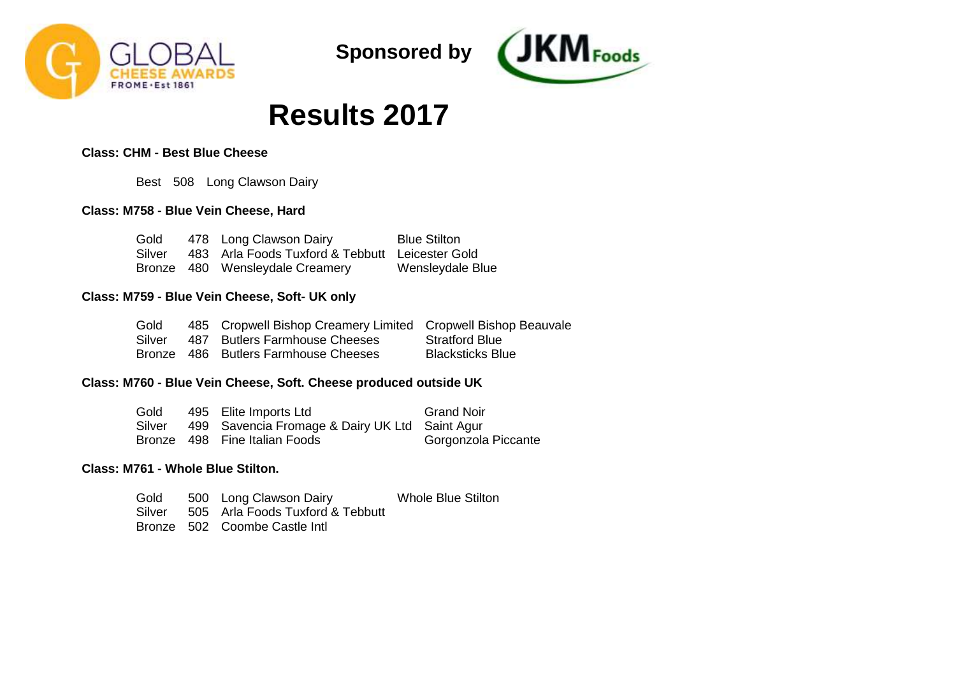



# **Results 2017**

# **Class: CHM - Best Blue Cheese**

Best 508 Long Clawson Dairy

# **Class: M758 - Blue Vein Cheese, Hard**

| Gold   | 478 Long Clawson Dairy                          | <b>Blue Stilton</b> |
|--------|-------------------------------------------------|---------------------|
| Silver | 483 Arla Foods Tuxford & Tebbutt Leicester Gold |                     |
|        | Bronze 480 Wensleydale Creamery                 | Wensleydale Blue    |

# **Class: M759 - Blue Vein Cheese, Soft- UK only**

| Gold   | 485 Cropwell Bishop Creamery Limited Cropwell Bishop Beauvale |                         |
|--------|---------------------------------------------------------------|-------------------------|
| Silver | 487 Butlers Farmhouse Cheeses                                 | <b>Stratford Blue</b>   |
|        | Bronze 486 Butlers Farmhouse Cheeses                          | <b>Blacksticks Blue</b> |

# **Class: M760 - Blue Vein Cheese, Soft. Cheese produced outside UK**

| Gold   | 495 Elite Imports Ltd                          | <b>Grand Noir</b>   |
|--------|------------------------------------------------|---------------------|
| Silver | 499 Savencia Fromage & Dairy UK Ltd Saint Agur |                     |
|        | Bronze 498 Fine Italian Foods                  | Gorgonzola Piccante |

## **Class: M761 - Whole Blue Stilton.**

| Gold | 500 Long Clawson Dairy                  | <b>Whole Blue Stilton</b> |
|------|-----------------------------------------|---------------------------|
|      | Silver 505 Arla Foods Tuxford & Tebbutt |                           |
|      | Bronze 502 Coombe Castle Intl           |                           |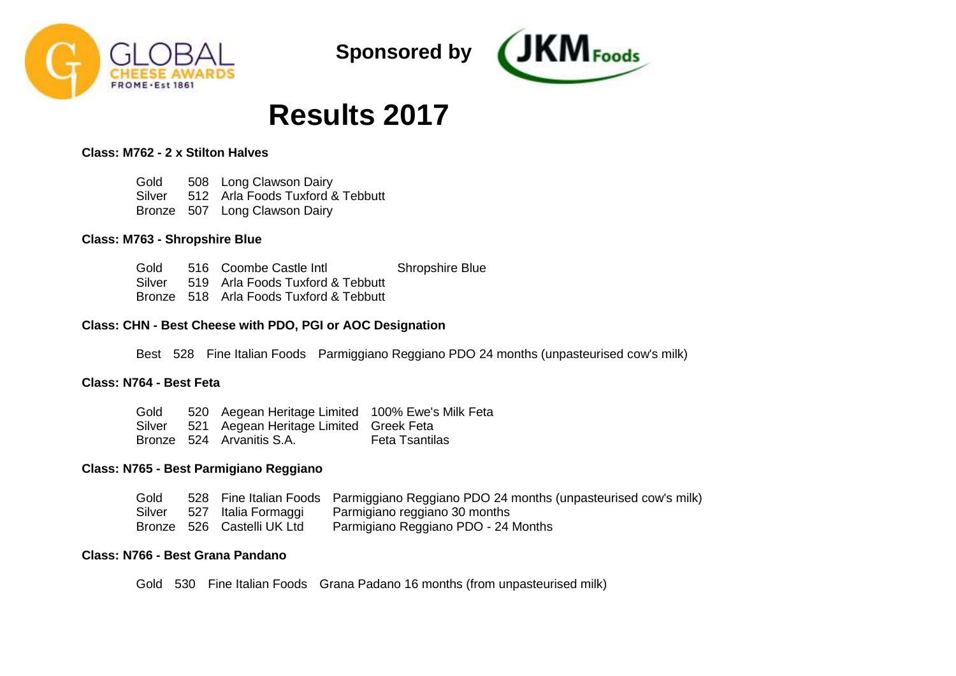



# **Results 2017**

# **Class: M762 - 2 x Stilton Halves**

Gold Silver Bronze 507 Long Clawson Dairy 508 Long Clawson Dairy 512 Arla Foods Tuxford & Tebbutt

### **Class: M763 - Shropshire Blue**

Gold Silver Bronze 518 Arla Foods Tuxford & Tebbutt 516 Coombe Castle Intl 519 Arla Foods Tuxford & Tebbutt Shropshire Blue

### **Class: CHN - Best Cheese with PDO, PGI or AOC Designation**

Best 528 Fine Italian Foods Parmiggiano Reggiano PDO 24 months (unpasteurised cow's milk)

# **Class: N764 - Best Feta**

| Gold   | 520 Aegean Heritage Limited 100% Ewe's Milk Feta |                       |
|--------|--------------------------------------------------|-----------------------|
| Silver | 521 Aegean Heritage Limited Greek Feta           |                       |
|        | Bronze 524 Arvanitis S.A.                        | <b>Feta Tsantilas</b> |

## **Class: N765 - Best Parmigiano Reggiano**

| Gold   |                            | 528 Fine Italian Foods Parmiggiano Reggiano PDO 24 months (unpasteurised cow's milk) |
|--------|----------------------------|--------------------------------------------------------------------------------------|
| Silver | 527 Italia Formaggi        | Parmigiano reggiano 30 months                                                        |
|        | Bronze 526 Castelli UK Ltd | Parmigiano Reggiano PDO - 24 Months                                                  |

### **Class: N766 - Best Grana Pandano**

Gold 530 Fine Italian Foods Grana Padano 16 months (from unpasteurised milk)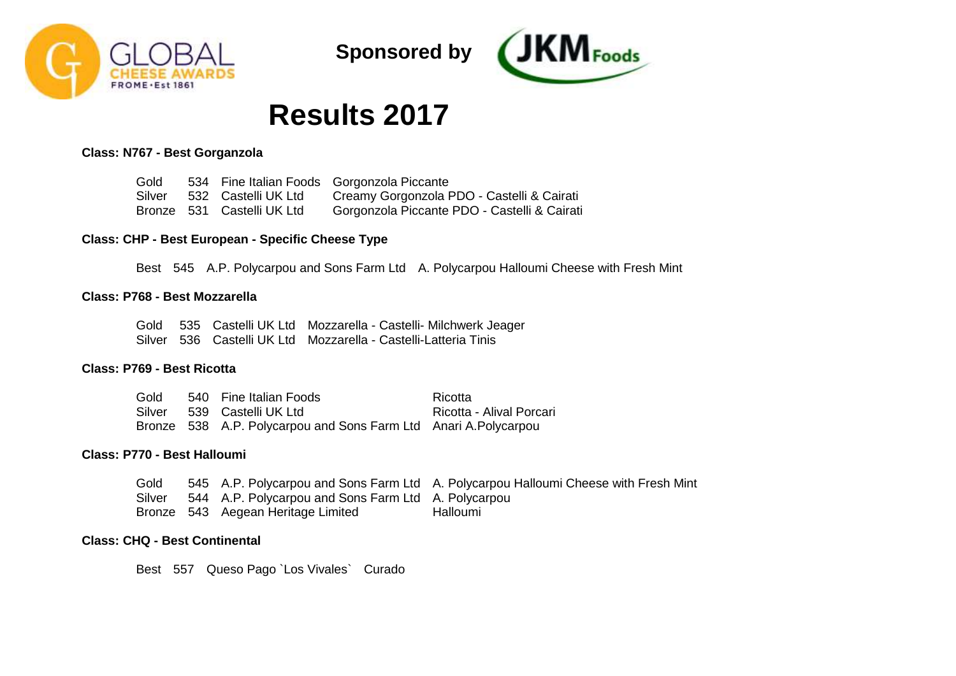



# **Results 2017**

#### **Class: N767 - Best Gorganzola**

| Gold   |                            | 534 Fine Italian Foods Gorgonzola Piccante   |
|--------|----------------------------|----------------------------------------------|
| Silver | 532   Castelli UK Ltd      | Creamy Gorgonzola PDO - Castelli & Cairati   |
|        | Bronze 531 Castelli UK Ltd | Gorgonzola Piccante PDO - Castelli & Cairati |

### **Class: CHP - Best European - Specific Cheese Type**

Best 545 A.P. Polycarpou and Sons Farm Ltd A. Polycarpou Halloumi Cheese with Fresh Mint

#### **Class: P768 - Best Mozzarella**

Gold 535 Castelli UK Ltd Mozzarella - Castelli- Milchwerk Jeager Silver 536 Castelli UK Ltd Mozzarella - Castelli-Latteria Tinis

### **Class: P769 - Best Ricotta**

| Gold | 540 Fine Italian Foods                                          | Ricotta                  |
|------|-----------------------------------------------------------------|--------------------------|
|      | Silver 539 Castelli UK Ltd                                      | Ricotta - Alival Porcari |
|      | Bronze 538 A.P. Polycarpou and Sons Farm Ltd Anari A.Polycarpou |                          |

#### **Class: P770 - Best Halloumi**

Gold Silver Bronze 543 Aegean Heritage Limited 545 A.P. Polycarpou and Sons Farm Ltd A. Polycarpou Halloumi Cheese with Fresh Mint 544 A.P. Polycarpou and Sons Farm Ltd A. Polycarpou Halloumi

#### **Class: CHQ - Best Continental**

Best 557 Queso Pago `Los Vivales` Curado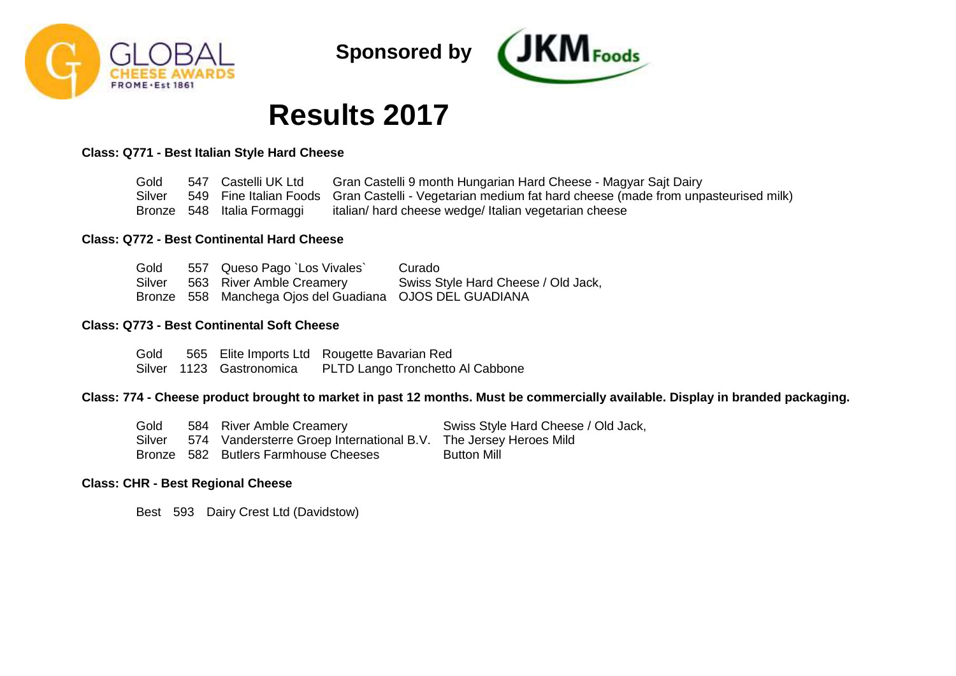



# **Results 2017**

# **Class: Q771 - Best Italian Style Hard Cheese**

| Gold   | 547 Castelli UK Ltd        | Gran Castelli 9 month Hungarian Hard Cheese - Magyar Sajt Dairy                                         |
|--------|----------------------------|---------------------------------------------------------------------------------------------------------|
| Silver |                            | 549 Fine Italian Foods Gran Castelli - Vegetarian medium fat hard cheese (made from unpasteurised milk) |
|        | Bronze 548 Italia Formaggi | italian/ hard cheese wedge/ Italian vegetarian cheese                                                   |

### **Class: Q772 - Best Continental Hard Cheese**

| Gold   | 557 Queso Pago `Los Vivales`                            | Curado                              |
|--------|---------------------------------------------------------|-------------------------------------|
| Silver | 563 River Amble Creamery                                | Swiss Style Hard Cheese / Old Jack, |
|        | Bronze 558 Manchega Ojos del Guadiana OJOS DEL GUADIANA |                                     |

### **Class: Q773 - Best Continental Soft Cheese**

Gold Silver 1123 Gastronomica 565 Elite Imports Ltd Rougette Bavarian Red PLTD Lango Tronchetto Al Cabbone

## **Class: 774 - Cheese product brought to market in past 12 months. Must be commercially available. Display in branded packaging.**

| Gold   | 584 River Amble Creamery                                         | Swiss Style Hard Cheese / Old Jack, |
|--------|------------------------------------------------------------------|-------------------------------------|
| Silver | 574 Vandersterre Groep International B.V. The Jersey Heroes Mild |                                     |
|        | Bronze 582 Butlers Farmhouse Cheeses                             | Button Mill                         |

#### **Class: CHR - Best Regional Cheese**

Best 593 Dairy Crest Ltd (Davidstow)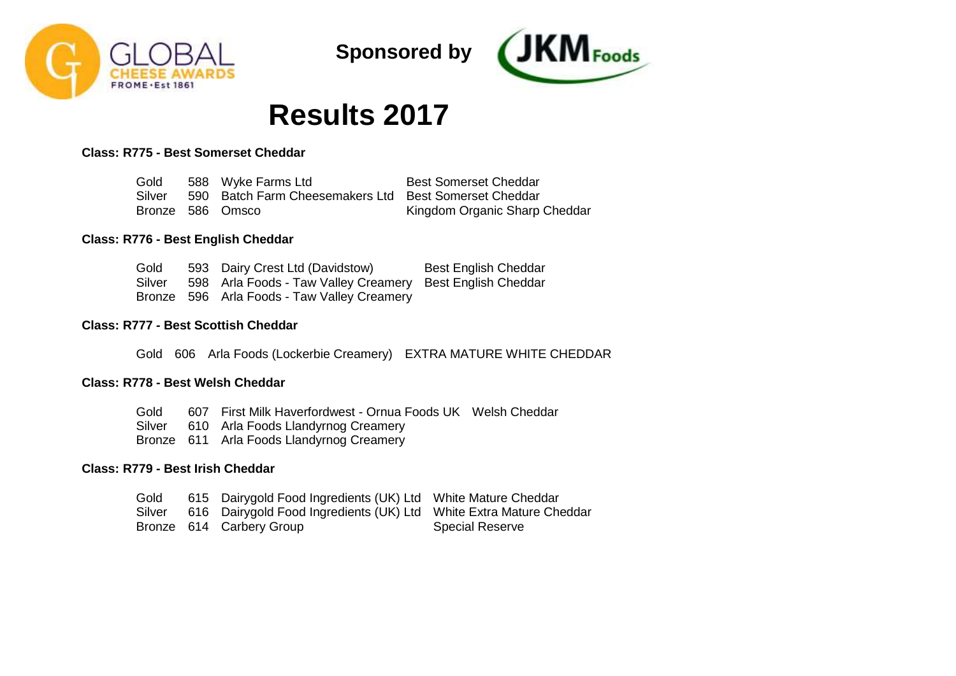



# **Results 2017**

# **Class: R775 - Best Somerset Cheddar**

| Gold   | 588 Wyke Farms Ltd                                    | <b>Best Somerset Cheddar</b>  |
|--------|-------------------------------------------------------|-------------------------------|
| Silver | 590 Batch Farm Cheesemakers Ltd Best Somerset Cheddar |                               |
|        | Bronze 586 Omsco                                      | Kingdom Organic Sharp Cheddar |

# **Class: R776 - Best English Cheddar**

| Gold   | 593 Dairy Crest Ltd (Davidstow)                           | <b>Best English Cheddar</b> |
|--------|-----------------------------------------------------------|-----------------------------|
| Silver | 598 Arla Foods - Taw Valley Creamery Best English Cheddar |                             |
|        | Bronze 596 Arla Foods - Taw Valley Creamery               |                             |

### **Class: R777 - Best Scottish Cheddar**

Gold 606 Arla Foods (Lockerbie Creamery) EXTRA MATURE WHITE CHEDDAR

#### **Class: R778 - Best Welsh Cheddar**

Gold 607 First Milk Haverfordwest - Ornua Foods UK Welsh Cheddar

- Silver 610 Arla Foods Llandyrnog Creamery
- Bronze 611 Arla Foods Llandyrnog Creamery

# **Class: R779 - Best Irish Cheddar**

| Gold   | 615 Dairygold Food Ingredients (UK) Ltd White Mature Cheddar       |                        |
|--------|--------------------------------------------------------------------|------------------------|
| Silver | 616 Dairygold Food Ingredients (UK) Ltd White Extra Mature Cheddar |                        |
|        | Bronze 614 Carbery Group                                           | <b>Special Reserve</b> |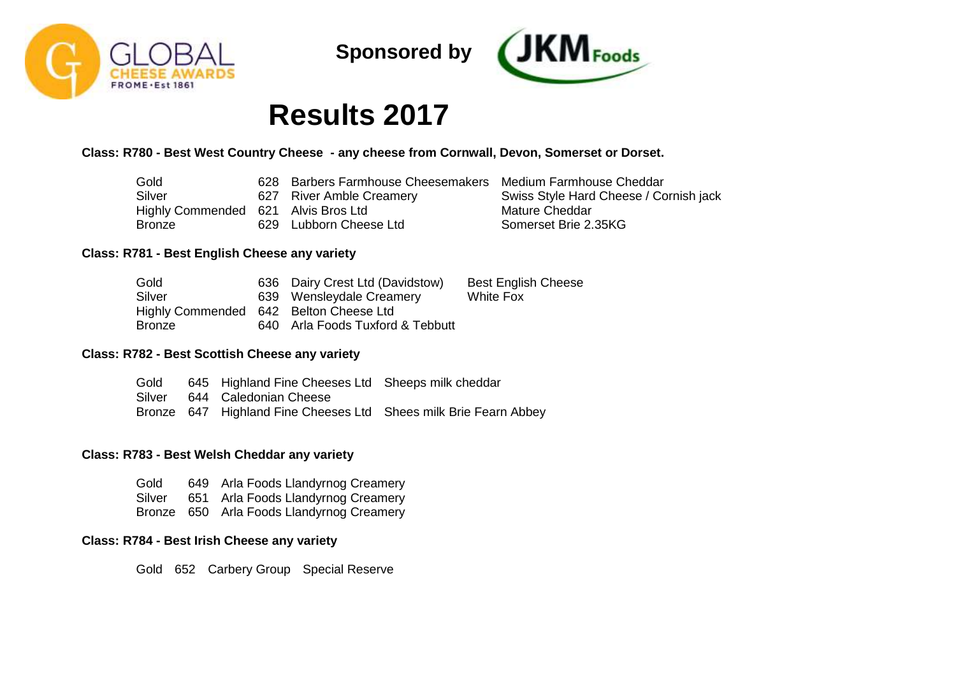



# **Results 2017**

# **Class: R780 - Best West Country Cheese - any cheese from Cornwall, Devon, Somerset or Dorset.**

| Gold                                | 628 Barbers Farmhouse Cheesemakers Medium Farmhouse Cheddar |                                        |
|-------------------------------------|-------------------------------------------------------------|----------------------------------------|
| Silver                              | 627 River Amble Creamery                                    | Swiss Style Hard Cheese / Cornish jack |
| Highly Commended 621 Alvis Bros Ltd |                                                             | Mature Cheddar                         |
| Bronze                              | 629 Lubborn Cheese Ltd                                      | Somerset Brie 2.35KG                   |

### **Class: R781 - Best English Cheese any variety**

| Gold                                   | 636 Dairy Crest Ltd (Davidstow)  | <b>Best English Cheese</b> |
|----------------------------------------|----------------------------------|----------------------------|
| Silver                                 | 639 Wensleydale Creamery         | White Fox                  |
| Highly Commended 642 Belton Cheese Ltd |                                  |                            |
| <b>Bronze</b>                          | 640 Arla Foods Tuxford & Tebbutt |                            |

# **Class: R782 - Best Scottish Cheese any variety**

Gold Silver 644 Caledonian Cheese Bronze 647 Highland Fine Cheeses Ltd Shees milk Brie Fearn Abbey 645 Highland Fine Cheeses Ltd Sheeps milk cheddar

## **Class: R783 - Best Welsh Cheddar any variety**

Gold Silver Bronze 650 Arla Foods Llandyrnog Creamery 649 Arla Foods Llandyrnog Creamery 651 Arla Foods Llandyrnog Creamery

# **Class: R784 - Best Irish Cheese any variety**

Gold 652 Carbery Group Special Reserve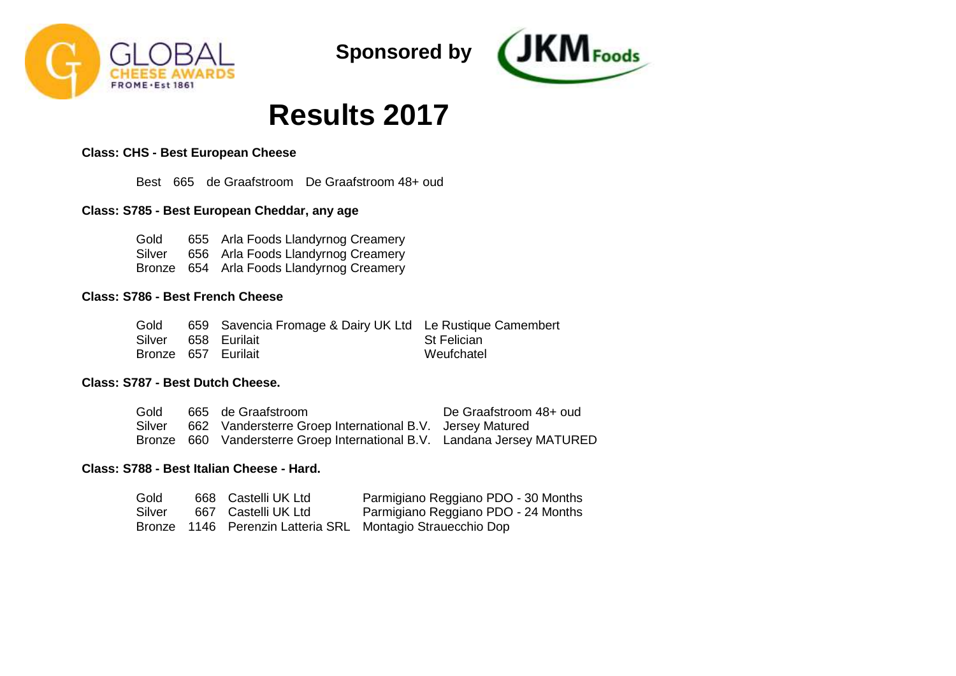



# **Results 2017**

# **Class: CHS - Best European Cheese**

Best 665 de Graafstroom De Graafstroom 48+ oud

# **Class: S785 - Best European Cheddar, any age**

Gold Silver 656 Arla Foods Llandyrnog Creamery Bronze 654 Arla Foods Llandyrnog Creamery 655 Arla Foods Llandyrnog Creamery

## **Class: S786 - Best French Cheese**

| Gold                | 659 Savencia Fromage & Dairy UK Ltd Le Rustique Camembert |                    |
|---------------------|-----------------------------------------------------------|--------------------|
| Silver 658 Eurilait |                                                           | <b>St Felician</b> |
| Bronze 657 Eurilait |                                                           | Weufchatel         |

# **Class: S787 - Best Dutch Cheese.**

| Gold   | 665 de Graafstroom                                                      | De Graafstroom 48+ oud |
|--------|-------------------------------------------------------------------------|------------------------|
| Silver | 662 Vandersterre Groep International B.V. Jersey Matured                |                        |
|        | Bronze 660 Vandersterre Groep International B.V. Landana Jersey MATURED |                        |

# **Class: S788 - Best Italian Cheese - Hard.**

| Gold   | 668 Castelli UK Ltd | Parmigiano Reggiano PDO - 30 Months                        |
|--------|---------------------|------------------------------------------------------------|
| Silver | 667 Castelli UK Ltd | Parmigiano Reggiano PDO - 24 Months                        |
|        |                     | Bronze 1146 Perenzin Latteria SRL Montagio Strauecchio Dop |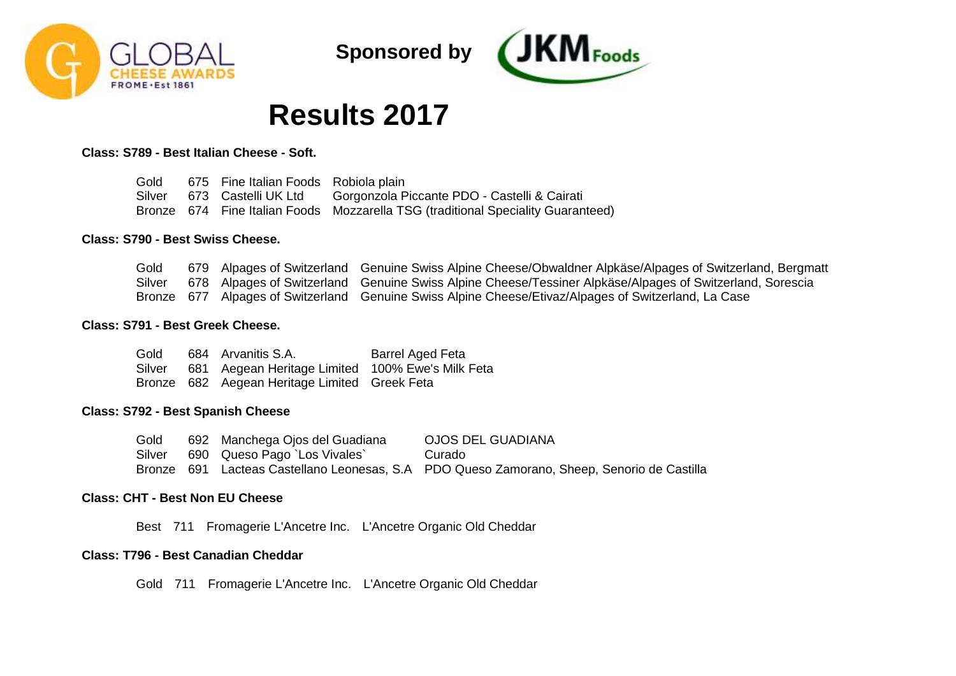



# **Results 2017**

### **Class: S789 - Best Italian Cheese - Soft.**

| Gold | 675 Fine Italian Foods Robiola plain |                                                                                  |
|------|--------------------------------------|----------------------------------------------------------------------------------|
|      | Silver 673 Castelli UK Ltd           | Gorgonzola Piccante PDO - Castelli & Cairati                                     |
|      |                                      | Bronze 674 Fine Italian Foods Mozzarella TSG (traditional Speciality Guaranteed) |

### **Class: S790 - Best Swiss Cheese.**

| Gold   |  | 679 Alpages of Switzerland Genuine Swiss Alpine Cheese/Obwaldner Alpkäse/Alpages of Switzerland, Bergmatt |
|--------|--|-----------------------------------------------------------------------------------------------------------|
| Silver |  | 678 Alpages of Switzerland Genuine Swiss Alpine Cheese/Tessiner Alpkäse/Alpages of Switzerland, Sorescia  |
|        |  | Bronze 677 Alpages of Switzerland Genuine Swiss Alpine Cheese/Etivaz/Alpages of Switzerland, La Case      |

### **Class: S791 - Best Greek Cheese.**

| Gold   | 684 Arvanitis S.A.                               | <b>Barrel Aged Feta</b> |
|--------|--------------------------------------------------|-------------------------|
| Silver | 681 Aegean Heritage Limited 100% Ewe's Milk Feta |                         |
|        | Bronze 682 Aegean Heritage Limited Greek Feta    |                         |

## **Class: S792 - Best Spanish Cheese**

| Gold   | 692 Manchega Ojos del Guadiana | OJOS DEL GUADIANA                                                                          |
|--------|--------------------------------|--------------------------------------------------------------------------------------------|
| Silver | 690 Queso Pago `Los Vivales`   | Curado                                                                                     |
|        |                                | Bronze 691 Lacteas Castellano Leonesas, S.A PDO Queso Zamorano, Sheep, Senorio de Castilla |

# **Class: CHT - Best Non EU Cheese**

Best 711 Fromagerie L'Ancetre Inc. L'Ancetre Organic Old Cheddar

# **Class: T796 - Best Canadian Cheddar**

Gold 711 Fromagerie L'Ancetre Inc. L'Ancetre Organic Old Cheddar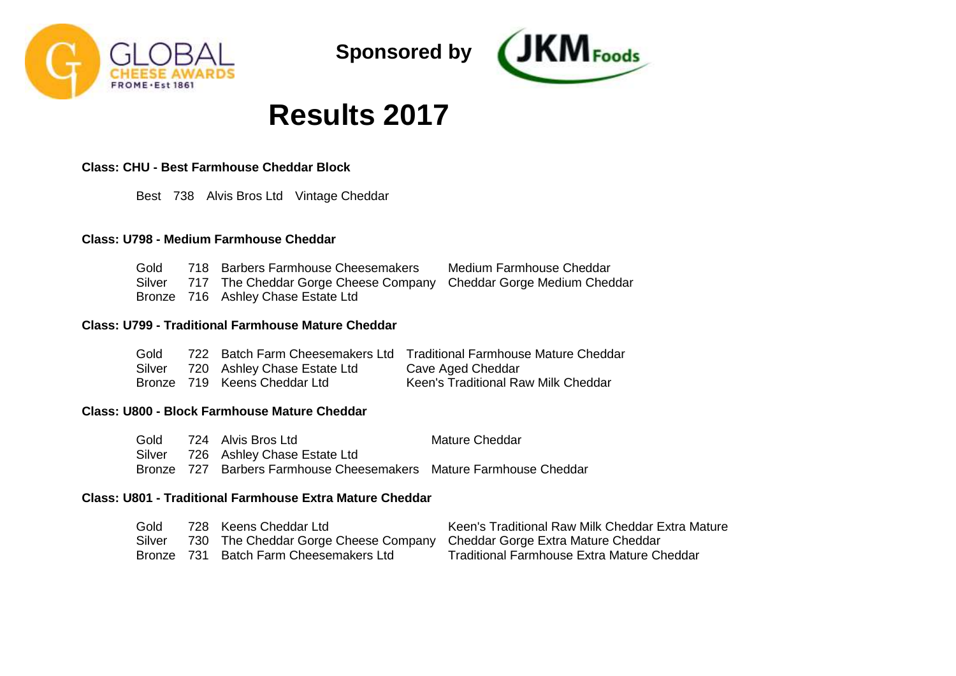



# **Results 2017**

# **Class: CHU - Best Farmhouse Cheddar Block**

Best 738 Alvis Bros Ltd Vintage Cheddar

# **Class: U798 - Medium Farmhouse Cheddar**

| Gold | 718 Barbers Farmhouse Cheesemakers                                       | Medium Farmhouse Cheddar |
|------|--------------------------------------------------------------------------|--------------------------|
|      | Silver 717 The Cheddar Gorge Cheese Company Cheddar Gorge Medium Cheddar |                          |
|      | Bronze 716 Ashley Chase Estate Ltd                                       |                          |

# **Class: U799 - Traditional Farmhouse Mature Cheddar**

| Gold   |                              | 722 Batch Farm Cheesemakers Ltd Traditional Farmhouse Mature Cheddar |
|--------|------------------------------|----------------------------------------------------------------------|
| Silver | 720 Ashley Chase Estate Ltd  | Cave Aged Cheddar                                                    |
|        | Bronze 719 Keens Cheddar Ltd | Keen's Traditional Raw Milk Cheddar                                  |

## **Class: U800 - Block Farmhouse Mature Cheddar**

| Gold   | 724 Alvis Bros Ltd                                                 | Mature Cheddar |
|--------|--------------------------------------------------------------------|----------------|
| Silver | 726 Ashley Chase Estate Ltd                                        |                |
|        | Bronze 727 Barbers Farmhouse Cheesemakers Mature Farmhouse Cheddar |                |

# **Class: U801 - Traditional Farmhouse Extra Mature Cheddar**

| Gold   | 728 Keens Cheddar Ltd                                                   | Keen's Traditional Raw Milk Cheddar Extra Mature |
|--------|-------------------------------------------------------------------------|--------------------------------------------------|
| Silver | 730 The Cheddar Gorge Cheese Company Cheddar Gorge Extra Mature Cheddar |                                                  |
|        | Bronze 731 Batch Farm Cheesemakers Ltd                                  | Traditional Farmhouse Extra Mature Cheddar       |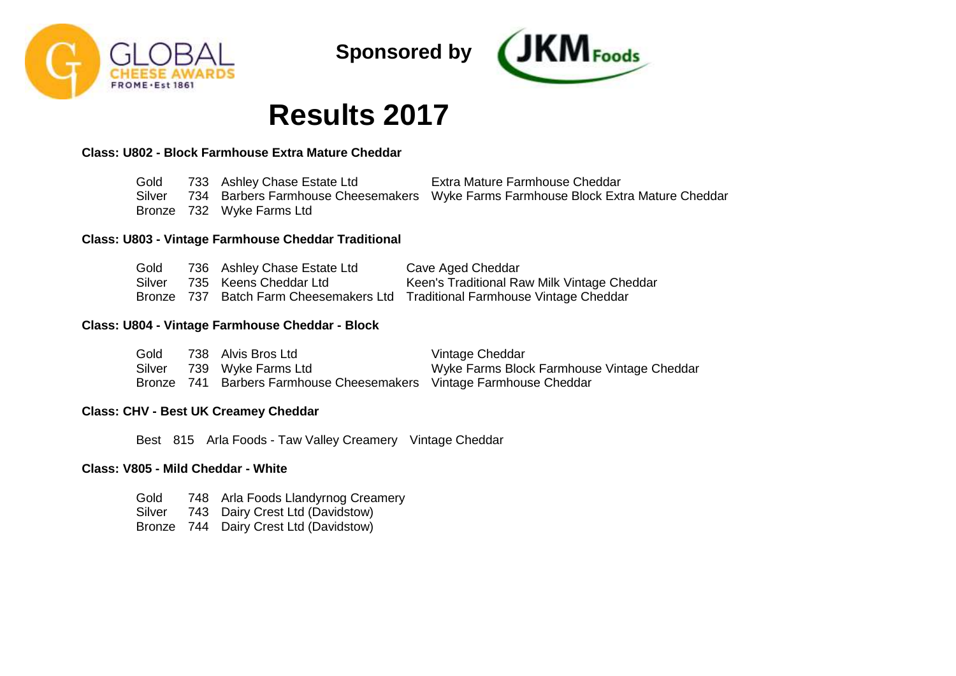



# **Results 2017**

# **Class: U802 - Block Farmhouse Extra Mature Cheddar**

| Gold   | 733 Ashley Chase Estate Ltd | Extra Mature Farmhouse Cheddar                                                     |
|--------|-----------------------------|------------------------------------------------------------------------------------|
| Silver |                             | 734 Barbers Farmhouse Cheesemakers Wyke Farms Farmhouse Block Extra Mature Cheddar |
|        | Bronze 732 Wyke Farms Ltd   |                                                                                    |

## **Class: U803 - Vintage Farmhouse Cheddar Traditional**

| Gold   | 736 Ashley Chase Estate Ltd | Cave Aged Cheddar                                                            |
|--------|-----------------------------|------------------------------------------------------------------------------|
| Silver | 735 Keens Cheddar Ltd       | Keen's Traditional Raw Milk Vintage Cheddar                                  |
|        |                             | Bronze 737 Batch Farm Cheesemakers Ltd Traditional Farmhouse Vintage Cheddar |

## **Class: U804 - Vintage Farmhouse Cheddar - Block**

| Gold   | 738 Alvis Bros Ltd                                                  | Vintage Cheddar                            |
|--------|---------------------------------------------------------------------|--------------------------------------------|
| Silver | 739 Wyke Farms Ltd                                                  | Wyke Farms Block Farmhouse Vintage Cheddar |
|        | Bronze 741 Barbers Farmhouse Cheesemakers Vintage Farmhouse Cheddar |                                            |

## **Class: CHV - Best UK Creamey Cheddar**

Best 815 Arla Foods - Taw Valley Creamery Vintage Cheddar

## **Class: V805 - Mild Cheddar - White**

Gold Silver 743 Dairy Crest Ltd (Davidstow) Bronze 744 Dairy Crest Ltd (Davidstow)748 Arla Foods Llandyrnog Creamery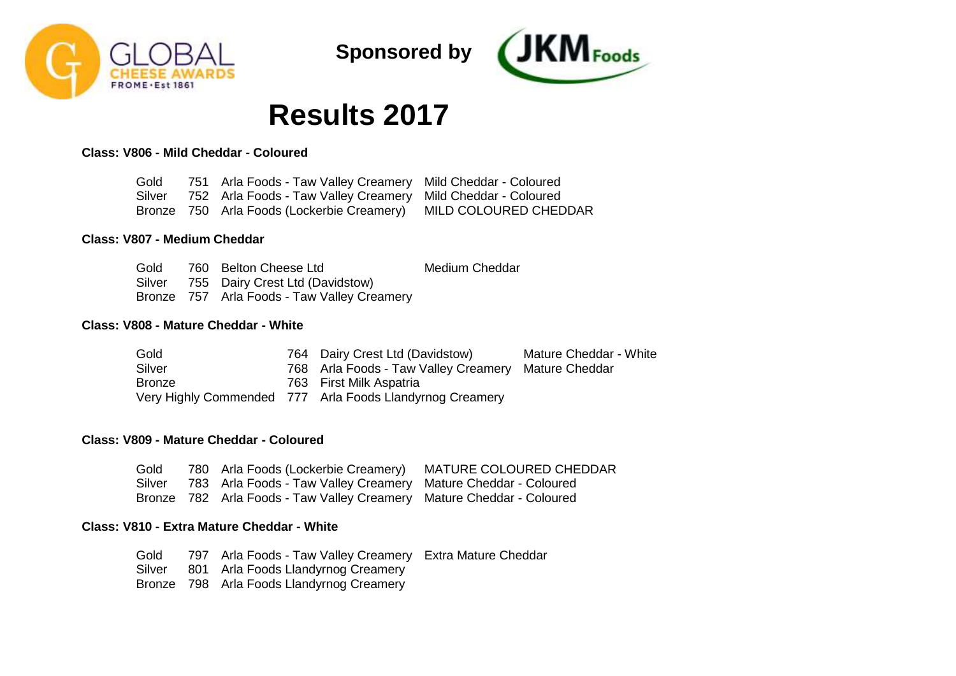



# **Results 2017**

**Class: V806 - Mild Cheddar - Coloured**

| Gold   | 751 Arla Foods - Taw Valley Creamery Mild Cheddar - Coloured     |  |
|--------|------------------------------------------------------------------|--|
| Silver | 752 Arla Foods - Taw Valley Creamery Mild Cheddar - Coloured     |  |
|        | Bronze 750 Arla Foods (Lockerbie Creamery) MILD COLOURED CHEDDAR |  |

## **Class: V807 - Medium Cheddar**

| Gold | 760 Belton Cheese Ltd                       | <b>Medium Cheddar</b> |
|------|---------------------------------------------|-----------------------|
|      | Silver 755 Dairy Crest Ltd (Davidstow)      |                       |
|      | Bronze 757 Arla Foods - Taw Valley Creamery |                       |

# **Class: V808 - Mature Cheddar - White**

| Gold   | 764 Dairy Crest Ltd (Davidstow)                          | Mature Cheddar - White |
|--------|----------------------------------------------------------|------------------------|
| Silver | 768 Arla Foods - Taw Valley Creamery Mature Cheddar      |                        |
| Bronze | 763 First Milk Aspatria                                  |                        |
|        | Very Highly Commended 777 Arla Foods Llandyrnog Creamery |                        |

# **Class: V809 - Mature Cheddar - Coloured**

| Gold | 780 Arla Foods (Lockerbie Creamery) MATURE COLOURED CHEDDAR           |  |
|------|-----------------------------------------------------------------------|--|
|      | Silver 783 Arla Foods - Taw Valley Creamery Mature Cheddar - Coloured |  |
|      | Bronze 782 Arla Foods - Taw Valley Creamery Mature Cheddar - Coloured |  |

## **Class: V810 - Extra Mature Cheddar - White**

Gold Silver Bronze 798 Arla Foods Llandyrnog Creamery 797 Arla Foods - Taw Valley Creamery Extra Mature Cheddar801 Arla Foods Llandyrnog Creamery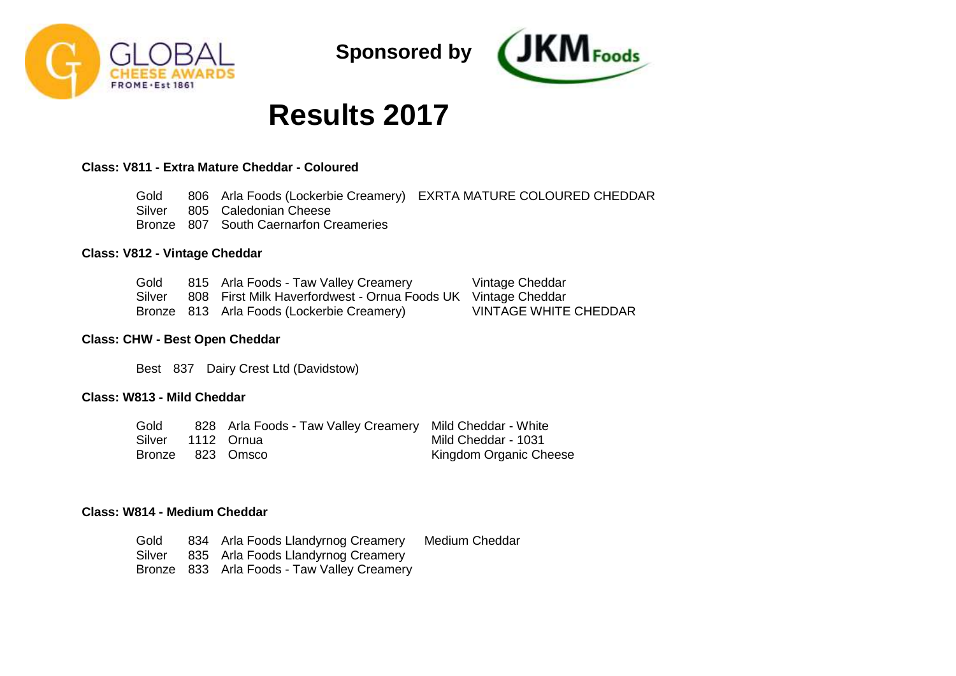



# **Results 2017**

# **Class: V811 - Extra Mature Cheddar - Coloured**

Gold Silver Bronze 807 South Caernarfon Creameries 806 Arla Foods (Lockerbie Creamery) EXRTA MATURE COLOURED CHEDDAR 805 Caledonian Cheese

#### **Class: V812 - Vintage Cheddar**

| Gold | 815 Arla Foods - Taw Valley Creamery                                 | Vintage Cheddar              |
|------|----------------------------------------------------------------------|------------------------------|
|      | Silver 808 First Milk Haverfordwest - Ornua Foods UK Vintage Cheddar |                              |
|      | Bronze 813 Arla Foods (Lockerbie Creamery)                           | <b>VINTAGE WHITE CHEDDAR</b> |

#### **Class: CHW - Best Open Cheddar**

Best 837 Dairy Crest Ltd (Davidstow)

# **Class: W813 - Mild Cheddar**

Gold Silver 1112 Ornua Bronze 823 Omsco 828 Arla Foods - Taw Valley Creamery Mild Cheddar - White Mild Cheddar - 1031 Kingdom Organic Cheese

### **Class: W814 - Medium Cheddar**

Gold Silver Bronze 833 Arla Foods - Taw Valley Creamery 834 Arla Foods Llandyrnog Creamery 835 Arla Foods Llandyrnog Creamery Medium Cheddar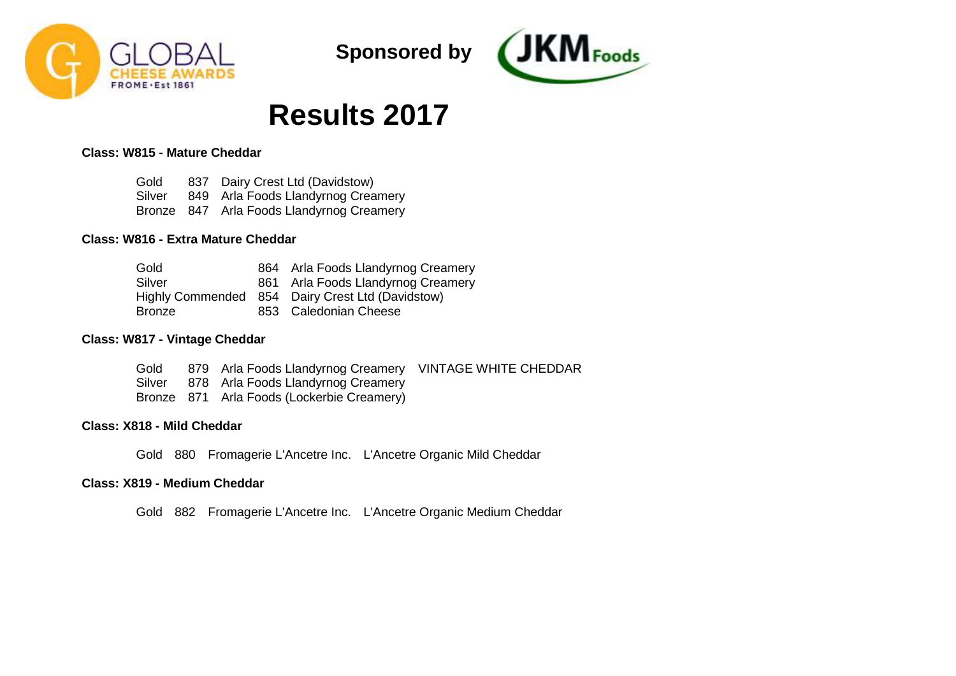



# **Results 2017**

# **Class: W815 - Mature Cheddar**

Gold Silver 849 Arla Foods Llandyrnog Creamery Bronze 847 Arla Foods Llandyrnog Creamery 837 Dairy Crest Ltd (Davidstow)

# **Class: W816 - Extra Mature Cheddar**

| Gold   | 864 Arla Foods Llandyrnog Creamery               |
|--------|--------------------------------------------------|
| Silver | 861 Arla Foods Llandyrnog Creamery               |
|        | Highly Commended 854 Dairy Crest Ltd (Davidstow) |
| Bronze | 853 Caledonian Cheese                            |

### **Class: W817 - Vintage Cheddar**

| Gold | 879 Arla Foods Llandyrnog Creamery VINTAGE WHITE CHEDDAR |  |
|------|----------------------------------------------------------|--|
|      | Silver 878 Arla Foods Llandyrnog Creamery                |  |
|      | Bronze 871 Arla Foods (Lockerbie Creamery)               |  |

# **Class: X818 - Mild Cheddar**

Gold 880 Fromagerie L'Ancetre Inc. L'Ancetre Organic Mild Cheddar

## **Class: X819 - Medium Cheddar**

Gold 882 Fromagerie L'Ancetre Inc. L'Ancetre Organic Medium Cheddar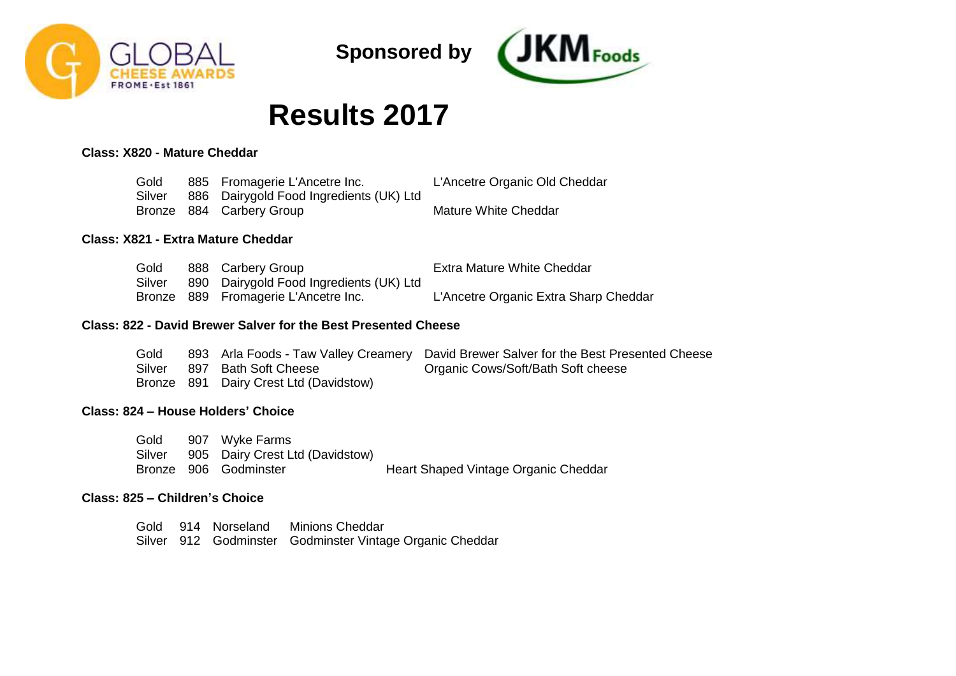



# **Results 2017**

# **Class: X820 - Mature Cheddar**

| Gold   | 885 Fromagerie L'Ancetre Inc.           | L'Ancetre Organic Old Cheddar |
|--------|-----------------------------------------|-------------------------------|
| Silver | 886 Dairygold Food Ingredients (UK) Ltd |                               |
|        | Bronze 884 Carbery Group                | Mature White Cheddar          |

### **Class: X821 - Extra Mature Cheddar**

| Gold   | 888 Carbery Group                       | Extra Mature White Cheddar            |
|--------|-----------------------------------------|---------------------------------------|
| Silver | 890 Dairygold Food Ingredients (UK) Ltd |                                       |
|        | Bronze 889 Fromagerie L'Ancetre Inc.    | L'Ancetre Organic Extra Sharp Cheddar |

### **Class: 822 - David Brewer Salver for the Best Presented Cheese**

| Gold   |                                        | 893 Arla Foods - Taw Valley Creamery David Brewer Salver for the Best Presented Cheese |
|--------|----------------------------------------|----------------------------------------------------------------------------------------|
| Silver | 897 Bath Soft Cheese                   | Organic Cows/Soft/Bath Soft cheese                                                     |
|        | Bronze 891 Dairy Crest Ltd (Davidstow) |                                                                                        |

### **Class: 824 – House Holders' Choice**

Gold Silver 905 Dairy Crest Ltd (Davidstow) Bronze 906 907 Wyke Farms Heart Shaped Vintage Organic Cheddar

# **Class: 825 – Children's Choice**

|  | Gold 914 Norseland Minions Cheddar                       |
|--|----------------------------------------------------------|
|  | Silver 912 Godminster Godminster Vintage Organic Cheddar |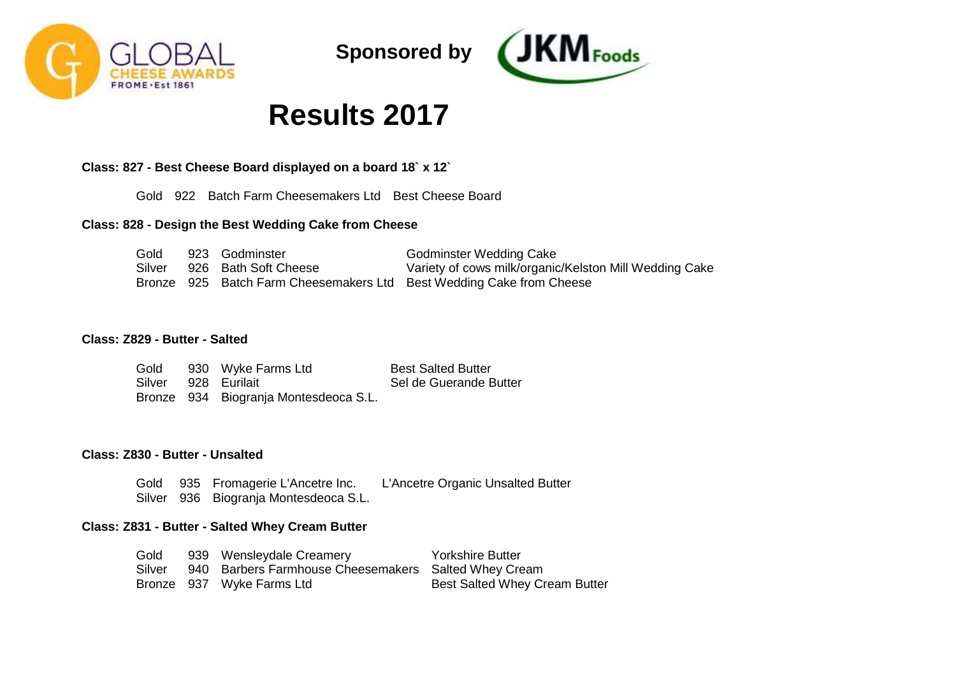



# **Results 2017**

# **Class: 827 - Best Cheese Board displayed on a board 18` x 12`**

Gold 922 Batch Farm Cheesemakers Ltd Best Cheese Board

# **Class: 828 - Design the Best Wedding Cake from Cheese**

| Gold   | 923 Godminster       | <b>Godminster Wedding Cake</b>                                       |
|--------|----------------------|----------------------------------------------------------------------|
| Silver | 926 Bath Soft Cheese | Variety of cows milk/organic/Kelston Mill Wedding Cake               |
|        |                      | Bronze 925 Batch Farm Cheesemakers Ltd Best Wedding Cake from Cheese |

### **Class: Z829 - Butter - Salted**

| Gold                | 930 Wyke Farms Ltd                    | <b>Best Salted Butter</b> |
|---------------------|---------------------------------------|---------------------------|
| Silver 928 Eurilait |                                       | Sel de Guerande Butter    |
|                     | Bronze 934 Biogranja Montesdeoca S.L. |                           |

#### **Class: Z830 - Butter - Unsalted**

Gold 935 Fromagerie L'Ancetre Inc. Silver 936 Biogranja Montesdeoca S.L. L'Ancetre Organic Unsalted Butter

#### **Class: Z831 - Butter - Salted Whey Cream Butter**

| Gold | 939 Wensleydale Creamery                                    | Yorkshire Butter                     |
|------|-------------------------------------------------------------|--------------------------------------|
|      | Silver 940 Barbers Farmhouse Cheesemakers Salted Whey Cream |                                      |
|      | Bronze 937 Wyke Farms Ltd                                   | <b>Best Salted Whey Cream Butter</b> |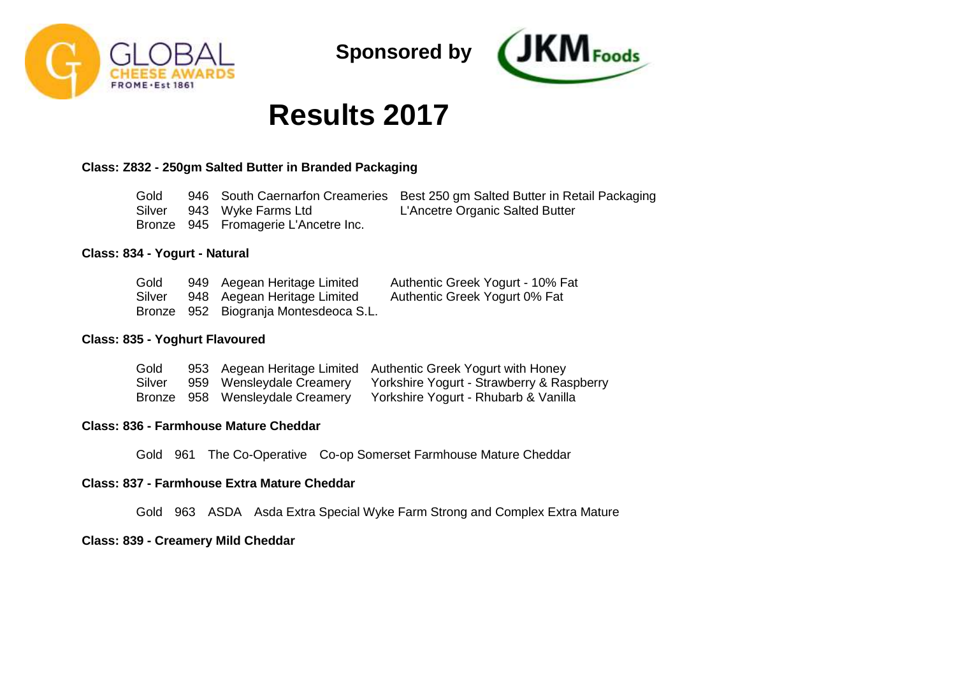



# **Results 2017**

# **Class: Z832 - 250gm Salted Butter in Branded Packaging**

| Gold |                                      | 946 South Caernarfon Creameries Best 250 gm Salted Butter in Retail Packaging |
|------|--------------------------------------|-------------------------------------------------------------------------------|
|      | Silver 943 Wyke Farms Ltd            | L'Ancetre Organic Salted Butter                                               |
|      | Bronze 945 Fromagerie L'Ancetre Inc. |                                                                               |

### **Class: 834 - Yogurt - Natural**

| Gold   | 949 Aegean Heritage Limited           | Authentic Greek Yogurt - 10% Fat |
|--------|---------------------------------------|----------------------------------|
| Silver | 948 Aegean Heritage Limited           | Authentic Greek Yogurt 0% Fat    |
|        | Bronze 952 Biogrania Montesdeoca S.L. |                                  |

### **Class: 835 - Yoghurt Flavoured**

| Gold   |  | 953 Aegean Heritage Limited Authentic Greek Yogurt with Honey        |
|--------|--|----------------------------------------------------------------------|
| Silver |  | 959 Wensleydale Creamery Yorkshire Yogurt - Strawberry & Raspberry   |
|        |  | Bronze 958 Wensleydale Creamery Yorkshire Yogurt - Rhubarb & Vanilla |

# **Class: 836 - Farmhouse Mature Cheddar**

Gold 961 The Co-Operative Co-op Somerset Farmhouse Mature Cheddar

# **Class: 837 - Farmhouse Extra Mature Cheddar**

Gold 963 ASDA Asda Extra Special Wyke Farm Strong and Complex Extra Mature

### **Class: 839 - Creamery Mild Cheddar**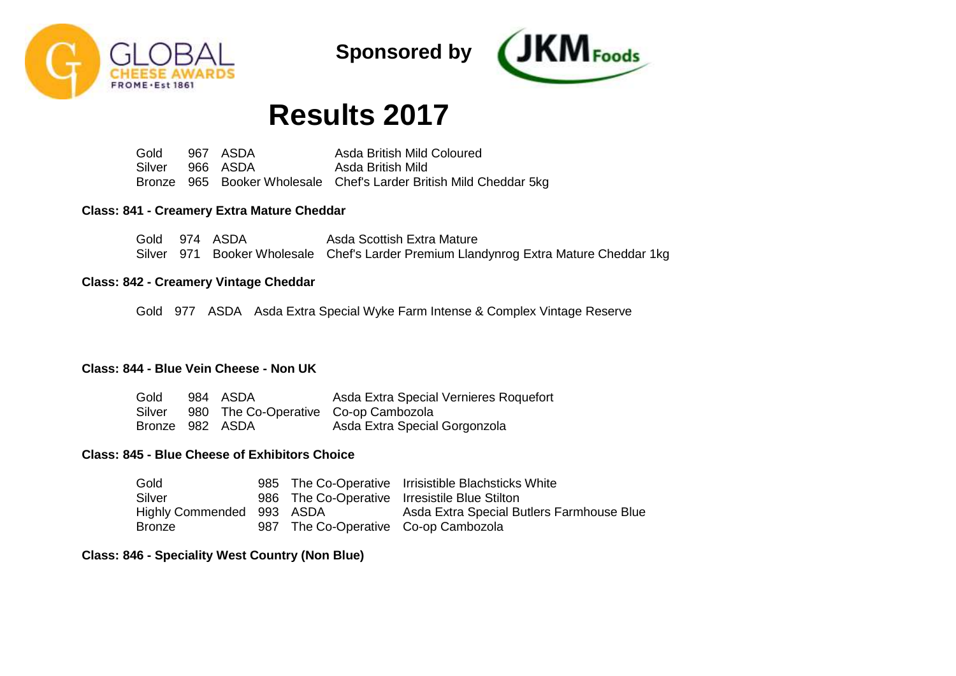



# **Results 2017**

Gold Silver Bronze 965 Booker Wholesale Chef's Larder British Mild Cheddar 5kg 967 ASDA 966 ASDA Asda British Mild Coloured Asda British Mild

### **Class: 841 - Creamery Extra Mature Cheddar**

Gold 974 ASDA Silver 971 Booker Wholesale Chef's Larder Premium Llandynrog Extra Mature Cheddar 1kg Asda Scottish Extra Mature

### **Class: 842 - Creamery Vintage Cheddar**

Gold 977 ASDA Asda Extra Special Wyke Farm Intense & Complex Vintage Reserve

# **Class: 844 - Blue Vein Cheese - Non UK**

| Gold            | 984 ASDA                                    | Asda Extra Special Vernieres Roquefort |
|-----------------|---------------------------------------------|----------------------------------------|
|                 | Silver 980 The Co-Operative Co-op Cambozola |                                        |
| Bronze 982 ASDA |                                             | Asda Extra Special Gorgonzola          |

## **Class: 845 - Blue Cheese of Exhibitors Choice**

| Gold                      |                                      | 985 The Co-Operative Irrisistible Blachsticks White |
|---------------------------|--------------------------------------|-----------------------------------------------------|
| Silver                    |                                      | 986 The Co-Operative Irresistile Blue Stilton       |
| Highly Commended 993 ASDA |                                      | Asda Extra Special Butlers Farmhouse Blue           |
| Bronze                    | 987 The Co-Operative Co-op Cambozola |                                                     |

#### **Class: 846 - Speciality West Country (Non Blue)**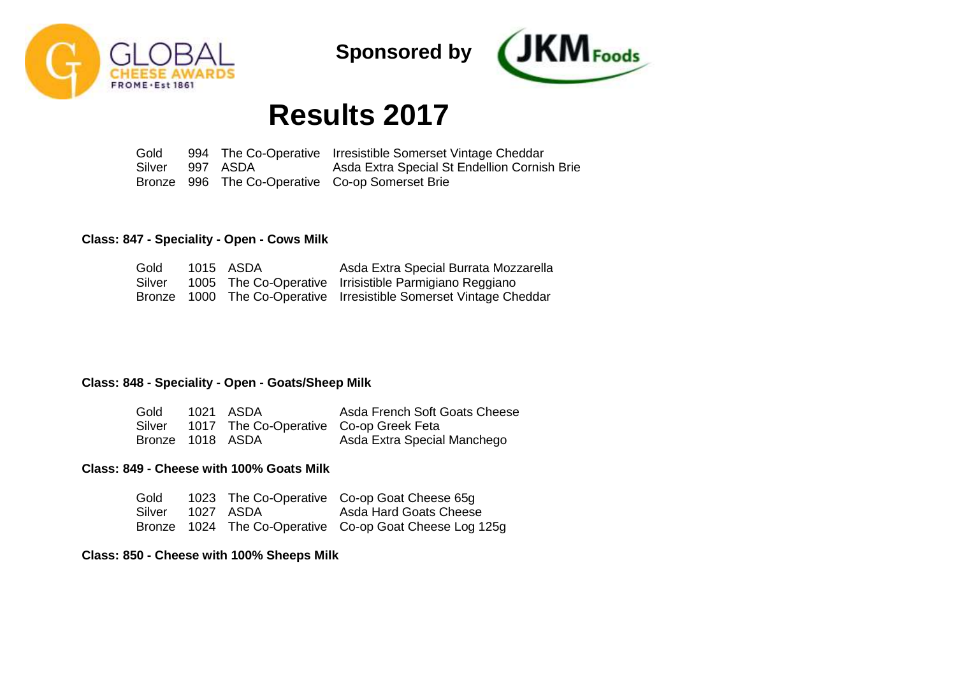



# **Results 2017**

Gold Silver Bronze 996 The Co-Operative Co-op Somerset Brie 994 The Co-Operative Irresistible Somerset Vintage Cheddar 997 ASDA Asda Extra Special St Endellion Cornish Brie

### **Class: 847 - Speciality - Open - Cows Milk**

| Gold   | 1015 ASDA | Asda Extra Special Burrata Mozzarella                              |
|--------|-----------|--------------------------------------------------------------------|
| Silver |           | 1005 The Co-Operative Irrisistible Parmigiano Reggiano             |
|        |           | Bronze 1000 The Co-Operative Irresistible Somerset Vintage Cheddar |

# **Class: 848 - Speciality - Open - Goats/Sheep Milk**

| Gold 1021 ASDA   |                                        | Asda French Soft Goats Cheese |
|------------------|----------------------------------------|-------------------------------|
| Silver           | 1017 The Co-Operative Co-op Greek Feta |                               |
| Bronze 1018 ASDA |                                        | Asda Extra Special Manchego   |

### **Class: 849 - Cheese with 100% Goats Milk**

|                  |  | Gold 1023 The Co-Operative Co-op Goat Cheese 65g        |
|------------------|--|---------------------------------------------------------|
| Silver 1027 ASDA |  | Asda Hard Goats Cheese                                  |
|                  |  | Bronze 1024 The Co-Operative Co-op Goat Cheese Log 125g |

#### **Class: 850 - Cheese with 100% Sheeps Milk**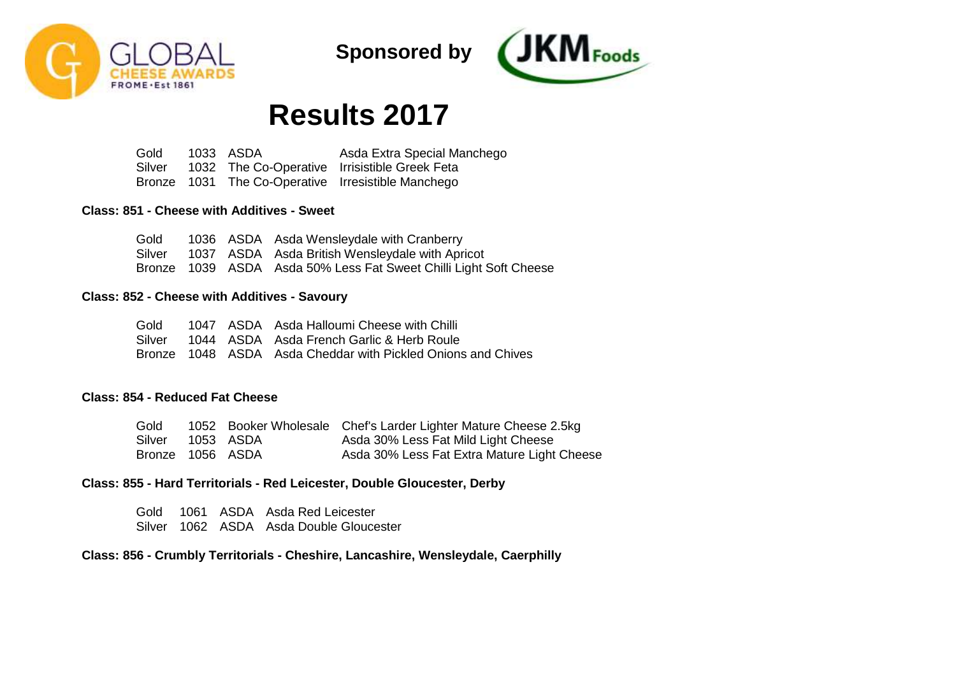



# **Results 2017**

Gold Silver Bronze 1031 The Co-Operative Irresistible Manchego 1033 ASDA 1032 The Co-Operative Irrisistible Greek Feta Asda Extra Special Manchego

#### **Class: 851 - Cheese with Additives - Sweet**

|  | Gold 1036 ASDA Asda Wensleydale with Cranberry                    |
|--|-------------------------------------------------------------------|
|  | Silver 1037 ASDA Asda British Wensleydale with Apricot            |
|  | Bronze 1039 ASDA Asda 50% Less Fat Sweet Chilli Light Soft Cheese |

#### **Class: 852 - Cheese with Additives - Savoury**

|  | Gold 1047 ASDA Asda Halloumi Cheese with Chilli              |
|--|--------------------------------------------------------------|
|  | Silver 1044 ASDA Asda French Garlic & Herb Roule             |
|  | Bronze 1048 ASDA Asda Cheddar with Pickled Onions and Chives |

# **Class: 854 - Reduced Fat Cheese**

| Gold             |               | 1052 Booker Wholesale Chef's Larder Lighter Mature Cheese 2.5kg |
|------------------|---------------|-----------------------------------------------------------------|
| Silver           | - 1053 - ASDA | Asda 30% Less Fat Mild Light Cheese                             |
| Bronze 1056 ASDA |               | Asda 30% Less Fat Extra Mature Light Cheese                     |

## **Class: 855 - Hard Territorials - Red Leicester, Double Gloucester, Derby**

Gold 1061 ASDA Asda Red Leicester Silver 1062 ASDA Asda Double Gloucester

### **Class: 856 - Crumbly Territorials - Cheshire, Lancashire, Wensleydale, Caerphilly**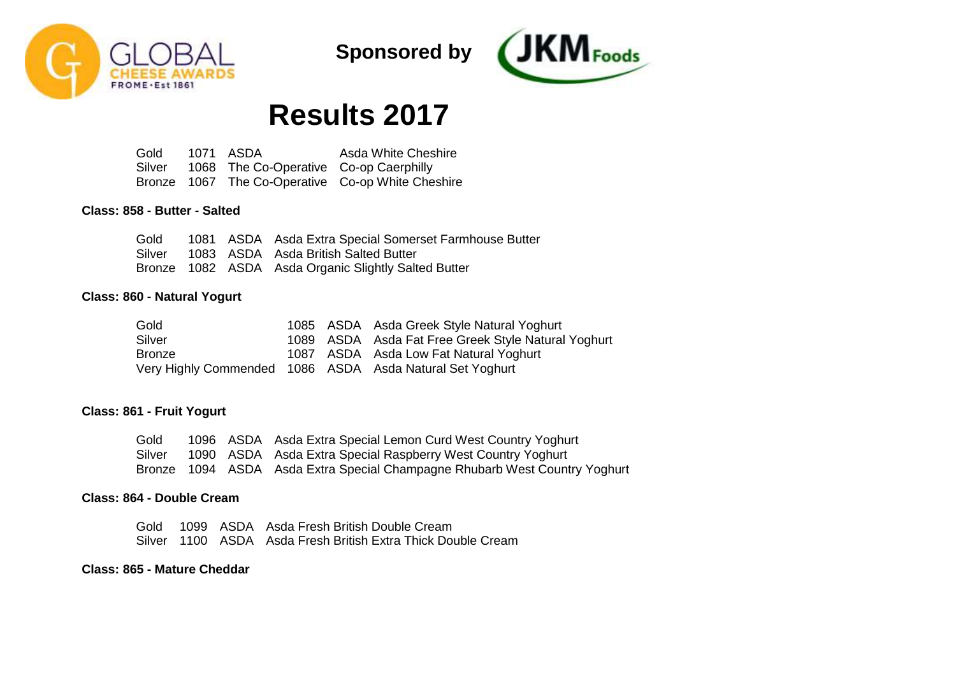



# **Results 2017**

Gold Silver Bronze 1067 The Co-Operative Co-op White Cheshire 1071 ASDA 1068 The Co-Operative Co-op Caerphilly Asda White Cheshire

#### **Class: 858 - Butter - Salted**

|  | Gold 1081 ASDA Asda Extra Special Somerset Farmhouse Butter |
|--|-------------------------------------------------------------|
|  | Silver 1083 ASDA Asda British Salted Butter                 |
|  | Bronze 1082 ASDA Asda Organic Slightly Salted Butter        |

#### **Class: 860 - Natural Yogurt**

| Gold          |  | 1085 ASDA Asda Greek Style Natural Yoghurt               |
|---------------|--|----------------------------------------------------------|
| Silver        |  | 1089 ASDA Asda Fat Free Greek Style Natural Yoghurt      |
| <b>Bronze</b> |  | 1087 ASDA Asda Low Fat Natural Yoghurt                   |
|               |  | Very Highly Commended 1086 ASDA Asda Natural Set Yoghurt |

### **Class: 861 - Fruit Yogurt**

Gold Silver Bronze 1094 ASDA Asda Extra Special Champagne Rhubarb West Country Yoghurt 1096 ASDA Asda Extra Special Lemon Curd West Country Yoghurt 1090 ASDA Asda Extra Special Raspberry West Country Yoghurt

#### **Class: 864 - Double Cream**

Gold 1099 ASDA Asda Fresh British Double Cream Silver 1100 ASDA Asda Fresh British Extra Thick Double Cream

#### **Class: 865 - Mature Cheddar**